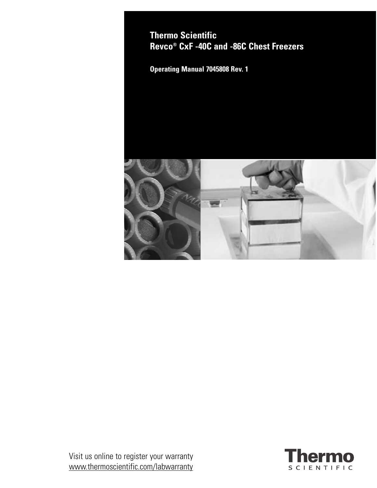**Thermo Scientific Revco® CxF -40C and -86C Chest Freezers**

**Operating Manual 7045808 Rev. 1**



Visit us online to register your warranty www.thermoscientific.com/labwarranty

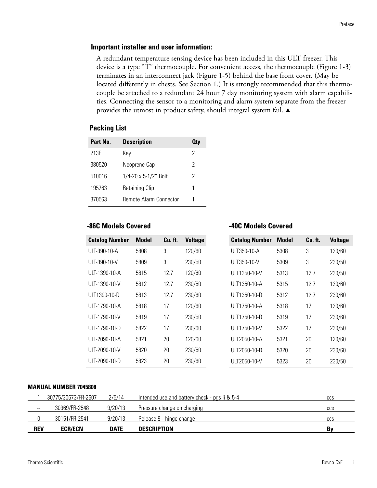## **Important installer and user information:**

A redundant temperature sensing device has been included in this ULT freezer. This device is a type "T" thermocouple. For convenient access, the thermocouple (Figure 1-3) terminates in an interconnect jack (Figure 1-5) behind the base front cover. (May be located differently in chests. See Section 1.) It is strongly recommended that this thermocouple be attached to a redundant 24 hour 7 day monitoring system with alarm capabilities. Connecting the sensor to a monitoring and alarm system separate from the freezer provides the utmost in product safety, should integral system fail.  $\blacktriangle$ 

### **Packing List**

| Part No. | <b>Description</b>     | <b>Qty</b> |
|----------|------------------------|------------|
| 213F     | Kev                    | 2          |
| 380520   | Neoprene Cap           | 2          |
| 510016   | 1/4-20 x 5-1/2" Bolt   | 2          |
| 195763   | <b>Retaining Clip</b>  | 1          |
| 370563   | Remote Alarm Connector | 1          |

### **-86C Models Covered**

| <b>Catalog Number</b> | <b>Model</b> | Cu. ft. | <b>Voltage</b> |
|-----------------------|--------------|---------|----------------|
| ULT-390-10-A          | 5808         | 3       | 120/60         |
| ULT-390-10-V          | 5809         | 3       | 230/50         |
| ULT-1390-10-A         | 5815         | 12.7    | 120/60         |
| ULT-1390-10-V         | 5812         | 12.7    | 230/50         |
| ULT1390-10-D          | 5813         | 12.7    | 230/60         |
| ULT-1790-10-A         | 5818         | 17      | 120/60         |
| ULT-1790-10-V         | 5819         | 17      | 230/50         |
| $UIT-1790-10-D$       | 5822         | 17      | 230/60         |
| ULT-2090-10-A         | 5821         | 20      | 120/60         |
| ULT-2090-10-V         | 5820         | 20      | 230/50         |
| ULT-2090-10-D         | 5823         | 20      | 230/60         |

**-40C Models Covered**

#### **MANUAL NUMBER 7045808**

|               | 30775/30673/FR-2607 | 2/5/14      | Intended use and battery check - pgs ii & 5-4 | <b>CCS</b> |
|---------------|---------------------|-------------|-----------------------------------------------|------------|
| $\sim$ $\sim$ | 30369/FR-2548       | 9/20/13     | Pressure change on charging                   | CCS        |
|               | 30151/FR-2541       | 9/20/13     | Release 9 - hinge change                      | CCS        |
| <b>REV</b>    | <b>ECR/ECN</b>      | <b>DATE</b> | <b>DESCRIPTION</b>                            | B٧         |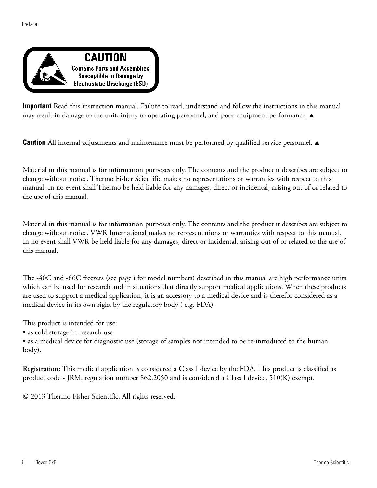

**Important** Read this instruction manual. Failure to read, understand and follow the instructions in this manual may result in damage to the unit, injury to operating personnel, and poor equipment performance.  $\blacktriangle$ 

**Caution** All internal adjustments and maintenance must be performed by qualified service personnel.  $\blacktriangle$ 

Material in this manual is for information purposes only. The contents and the product it describes are subject to change without notice. Thermo Fisher Scientific makes no representations or warranties with respect to this manual. In no event shall Thermo be held liable for any damages, direct or incidental, arising out of or related to the use of this manual.

Material in this manual is for information purposes only. The contents and the product it describes are subject to change without notice. VWR International makes no representations or warranties with respect to this manual. In no event shall VWR be held liable for any damages, direct or incidental, arising out of or related to the use of this manual.

The -40C and -86C freezers (see page i for model numbers) described in this manual are high performance units which can be used for research and in situations that directly support medical applications. When these products are used to support a medical application, it is an accessory to a medical device and is therefor considered as a medical device in its own right by the regulatory body ( e.g. FDA).

This product is intended for use:

• as cold storage in research use

• as a medical device for diagnostic use (storage of samples not intended to be re-introduced to the human body).

**Registration:** This medical application is considered a Class I device by the FDA. This product is classified as product code - JRM, regulation number 862.2050 and is considered a Class I device, 510(K) exempt.

© 2013 Thermo Fisher Scientific. All rights reserved.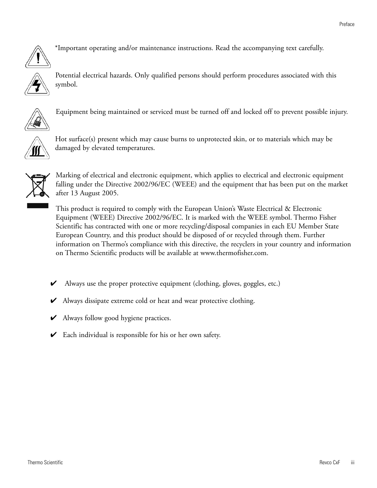

\*Important operating and/or maintenance instructions. Read the accompanying text carefully.



Potential electrical hazards. Only qualified persons should perform procedures associated with this symbol.



Equipment being maintained or serviced must be turned off and locked off to prevent possible injury.



Hot surface(s) present which may cause burns to unprotected skin, or to materials which may be damaged by elevated temperatures.



Marking of electrical and electronic equipment, which applies to electrical and electronic equipment falling under the Directive 2002/96/EC (WEEE) and the equipment that has been put on the market after 13 August 2005.

This product is required to comply with the European Union's Waste Electrical & Electronic Equipment (WEEE) Directive 2002/96/EC. It is marked with the WEEE symbol. Thermo Fisher Scientific has contracted with one or more recycling/disposal companies in each EU Member State European Country, and this product should be disposed of or recycled through them. Further information on Thermo's compliance with this directive, the recyclers in your country and information on Thermo Scientific products will be available at www.thermofisher.com.

- $\blacktriangleright$  Always use the proper protective equipment (clothing, gloves, goggles, etc.)
- $\blacktriangleright$  Always dissipate extreme cold or heat and wear protective clothing.
- $\blacktriangleright$  Always follow good hygiene practices.
- $\triangleright$  Each individual is responsible for his or her own safety.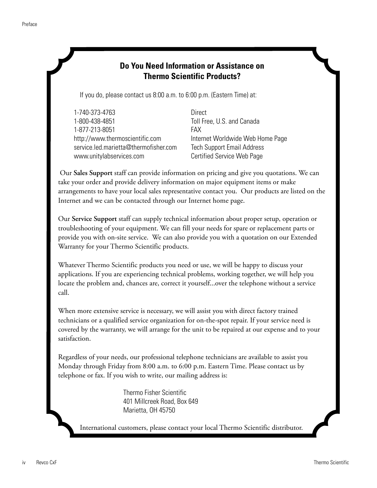# **Do You Need Information or Assistance on Thermo Scientific Products?** If you do, please contact us 8:00 a.m. to 6:00 p.m. (Eastern Time) at: 1-740-373-4763 Direct 1-800-438-4851 Toll Free, U.S. and Canada 1-877-213-8051 FAX http://www.thermoscientific.com Internet Worldwide Web Home Page service.led.marietta@thermofisher.com Tech Support Email Address Certified Service Web Page Our Sales Support staff can provide information on pricing and give you quotations. We can take your order and provide delivery information on major equipment items or make arrangements to have your local sales representative contact you. Our products are listed on the Internet and we can be contacted through our Internet home page. www.unitylabservices.com

Our Service Support staff can supply technical information about proper setup, operation or troubleshooting of your equipment. We can fill your needs for spare or replacement parts or provide you with on-site service. We can also provide you with a quotation on our Extended Warranty for your Thermo Scientific products.

Whatever Thermo Scientific products you need or use, we will be happy to discuss your applications. If you are experiencing technical problems, working together, we will help you locate the problem and, chances are, correct it yourself...over the telephone without a service call.

When more extensive service is necessary, we will assist you with direct factory trained technicians or a qualified service organization for on-the-spot repair. If your service need is covered by the warranty, we will arrange for the unit to be repaired at our expense and to your satisfaction.

Regardless of your needs, our professional telephone technicians are available to assist you Monday through Friday from 8:00 a.m. to 6:00 p.m. Eastern Time. Please contact us by telephone or fax. If you wish to write, our mailing address is:

> Thermo Fisher Scientific 401 Millcreek Road, Box 649 Marietta, OH 45750

International customers, please contact your local Thermo Scientific distributor.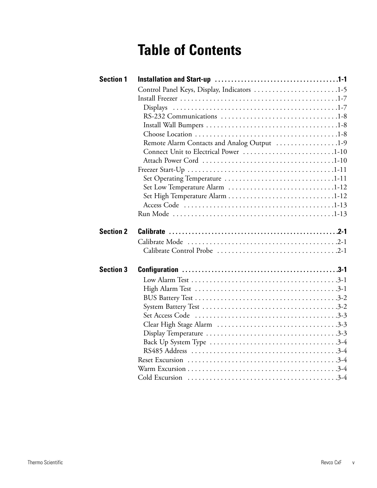# **Table of Contents**

| <b>Section 1</b> |                                             |  |
|------------------|---------------------------------------------|--|
|                  | Control Panel Keys, Display, Indicators 1-5 |  |
|                  |                                             |  |
|                  | <b>Displays</b>                             |  |
|                  |                                             |  |
|                  |                                             |  |
|                  |                                             |  |
|                  | Remote Alarm Contacts and Analog Output 1-9 |  |
|                  | Connect Unit to Electrical Power 1-10       |  |
|                  |                                             |  |
|                  |                                             |  |
|                  |                                             |  |
|                  | Set Low Temperature Alarm 1-12              |  |
|                  |                                             |  |
|                  |                                             |  |
|                  |                                             |  |
|                  |                                             |  |
| <b>Section 2</b> |                                             |  |
|                  |                                             |  |
|                  |                                             |  |
| <b>Section 3</b> |                                             |  |
|                  |                                             |  |
|                  |                                             |  |
|                  |                                             |  |
|                  |                                             |  |
|                  |                                             |  |
|                  |                                             |  |
|                  |                                             |  |
|                  |                                             |  |
|                  |                                             |  |
|                  |                                             |  |
|                  |                                             |  |
|                  |                                             |  |
|                  |                                             |  |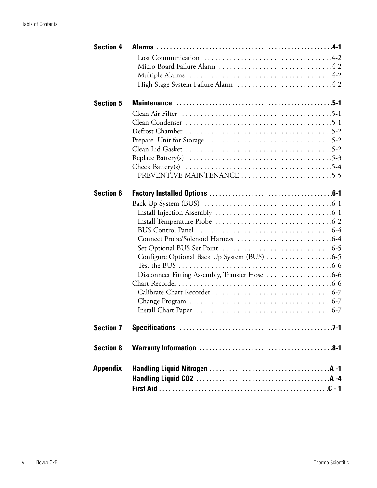| <b>Section 4</b> |                                                                                                          |  |
|------------------|----------------------------------------------------------------------------------------------------------|--|
|                  |                                                                                                          |  |
|                  |                                                                                                          |  |
|                  |                                                                                                          |  |
|                  | High Stage System Failure Alarm 4-2                                                                      |  |
|                  |                                                                                                          |  |
| <b>Section 5</b> |                                                                                                          |  |
|                  |                                                                                                          |  |
|                  |                                                                                                          |  |
|                  |                                                                                                          |  |
|                  |                                                                                                          |  |
|                  |                                                                                                          |  |
|                  | Replace Battery(s) $\ldots \ldots \ldots \ldots \ldots \ldots \ldots \ldots \ldots \ldots \ldots \ldots$ |  |
|                  | Check Battery(s) $\ldots \ldots \ldots \ldots \ldots \ldots \ldots \ldots \ldots \ldots \ldots \ldots$   |  |
|                  | PREVENTIVE MAINTENANCE 5-5                                                                               |  |
|                  |                                                                                                          |  |
| <b>Section 6</b> |                                                                                                          |  |
|                  |                                                                                                          |  |
|                  |                                                                                                          |  |
|                  |                                                                                                          |  |
|                  |                                                                                                          |  |
|                  |                                                                                                          |  |
|                  |                                                                                                          |  |
|                  |                                                                                                          |  |
|                  |                                                                                                          |  |
|                  | Disconnect Fitting Assembly, Transfer Hose 6-6                                                           |  |
|                  |                                                                                                          |  |
|                  |                                                                                                          |  |
|                  |                                                                                                          |  |
|                  |                                                                                                          |  |
| <b>Section 7</b> |                                                                                                          |  |
| <b>Section 8</b> |                                                                                                          |  |
|                  |                                                                                                          |  |
| <b>Appendix</b>  |                                                                                                          |  |
|                  |                                                                                                          |  |
|                  |                                                                                                          |  |
|                  |                                                                                                          |  |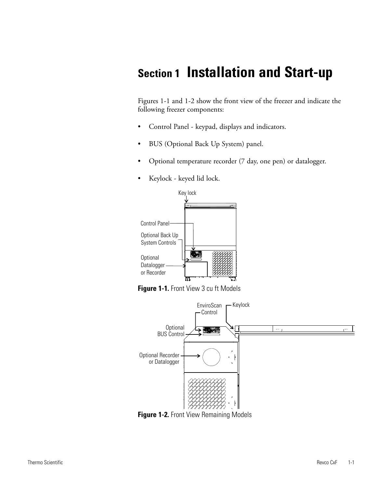# **Section 1 Installation and Start-up**

Figures 1-1 and 1-2 show the front view of the freezer and indicate the following freezer components:

- Control Panel keypad, displays and indicators.
- BUS (Optional Back Up System) panel.
- Optional temperature recorder (7 day, one pen) or datalogger.
- Keylock keyed lid lock.



**Figure 1-1.** Front View 3 cu ft Models



**Figure 1-2. Front View Remaining Models**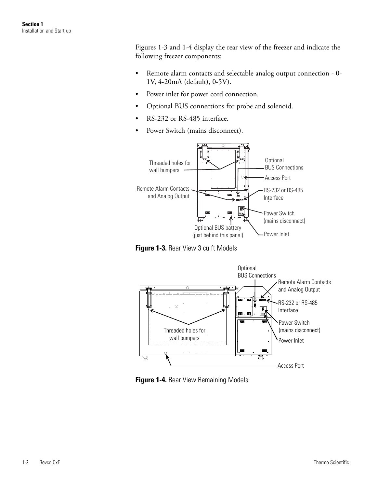Figures 1-3 and 1-4 display the rear view of the freezer and indicate the following freezer components:

- Remote alarm contacts and selectable analog output connection 0- 1V, 4-20mA (default), 0-5V).
- Power inlet for power cord connection.
- Optional BUS connections for probe and solenoid.
- RS-232 or RS-485 interface.
- Power Switch (mains disconnect).



**Figure 1-3.** Rear View 3 cu ft Models



**Figure 1-4.** Rear View Remaining Models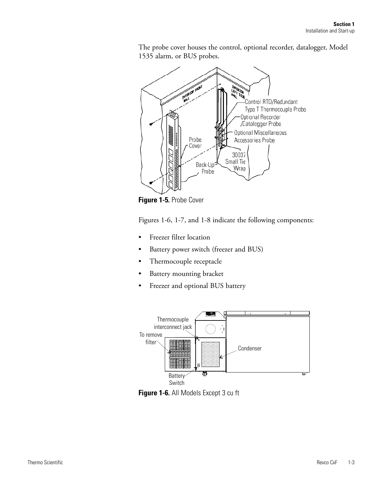The probe cover houses the control, optional recorder, datalogger, Model 1535 alarm, or BUS probes.



**Figure 1-5.** Probe Cover

Figures 1-6, 1-7, and 1-8 indicate the following components:

- Freezer filter location
- Battery power switch (freezer and BUS)
- Thermocouple receptacle
- Battery mounting bracket
- Freezer and optional BUS battery



**Figure 1-6.** All Models Except 3 cu ft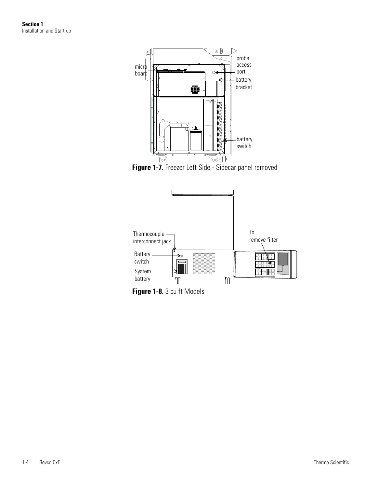

**Figure 1-7.** Freezer Left Side - Sidecar panel removed



**Figure 1-8.** 3 cu ft Models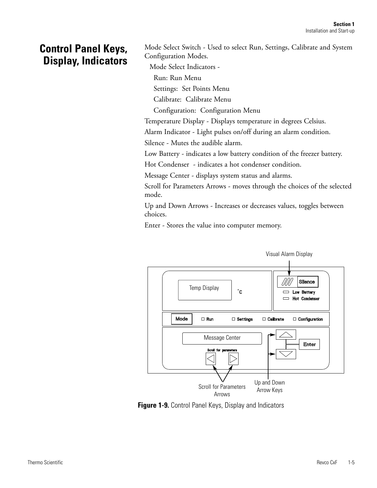# **Control Panel Keys, Display, Indicators**

Mode Select Switch - Used to select Run, Settings, Calibrate and System Configuration Modes.

Mode Select Indicators -

Run: Run Menu

Settings: Set Points Menu

Calibrate: Calibrate Menu

Configuration: Configuration Menu

Temperature Display - Displays temperature in degrees Celsius.

Alarm Indicator - Light pulses on/off during an alarm condition.

Silence - Mutes the audible alarm.

Low Battery - indicates a low battery condition of the freezer battery.

Hot Condenser - indicates a hot condenser condition.

Message Center - displays system status and alarms.

Scroll for Parameters Arrows - moves through the choices of the selected mode.

Up and Down Arrows - Increases or decreases values, toggles between choices.

Enter - Stores the value into computer memory.



**Figure 1-9.** Control Panel Keys, Display and Indicators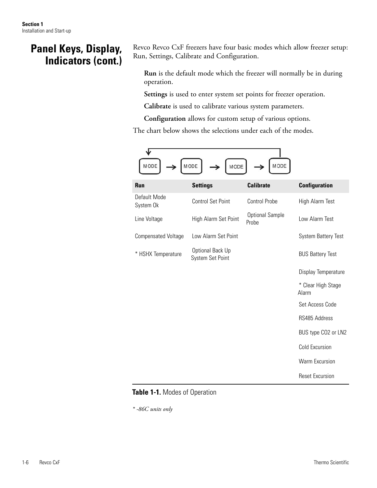# **Panel Keys, Display, Indicators (cont.)**

Revco Revco CxF freezers have four basic modes which allow freezer setup: Run, Settings, Calibrate and Configuration.

**Run** is the default mode which the freezer will normally be in during operation.

**Settings** is used to enter system set points for freezer operation.

**Calibrate** is used to calibrate various system parameters.

**Configuration** allows for custom setup of various options.

The chart below shows the selections under each of the modes.

| <b>MODE</b><br>MODE<br>MODE<br>MODE |                                      |                                 |                             |  |  |  |
|-------------------------------------|--------------------------------------|---------------------------------|-----------------------------|--|--|--|
| Run                                 | <b>Settings</b>                      | <b>Calibrate</b>                | <b>Configuration</b>        |  |  |  |
| Default Mode<br>System Ok           | <b>Control Set Point</b>             | <b>Control Probe</b>            | High Alarm Test             |  |  |  |
| Line Voltage                        | High Alarm Set Point                 | <b>Optional Sample</b><br>Probe | Low Alarm Test              |  |  |  |
| <b>Compensated Voltage</b>          | Low Alarm Set Point                  |                                 | <b>System Battery Test</b>  |  |  |  |
| * HSHX Temperature                  | Optional Back Up<br>System Set Point |                                 | <b>BUS Battery Test</b>     |  |  |  |
|                                     |                                      |                                 | Display Temperature         |  |  |  |
|                                     |                                      |                                 | * Clear High Stage<br>Alarm |  |  |  |
|                                     |                                      |                                 | Set Access Code             |  |  |  |
|                                     |                                      |                                 | RS485 Address               |  |  |  |
|                                     |                                      |                                 | BUS type CO2 or LN2         |  |  |  |
|                                     |                                      |                                 | Cold Excursion              |  |  |  |
|                                     |                                      |                                 | <b>Warm Excursion</b>       |  |  |  |
|                                     |                                      |                                 | <b>Reset Excursion</b>      |  |  |  |

## **Table 1-1.** Modes of Operation

*\* -86C units only*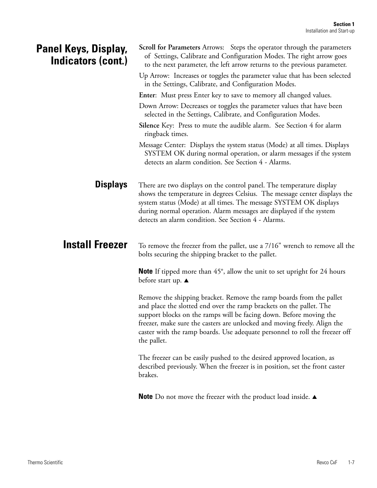| Panel Keys, Display,<br>Indicators (cont.) | <b>Scroll for Parameters</b> Arrows: Steps the operator through the parameters<br>of Settings, Calibrate and Configuration Modes. The right arrow goes<br>to the next parameter, the left arrow returns to the previous parameter.                                                                                                                                                         |  |  |  |
|--------------------------------------------|--------------------------------------------------------------------------------------------------------------------------------------------------------------------------------------------------------------------------------------------------------------------------------------------------------------------------------------------------------------------------------------------|--|--|--|
|                                            | Up Arrow: Increases or toggles the parameter value that has been selected<br>in the Settings, Calibrate, and Configuration Modes.                                                                                                                                                                                                                                                          |  |  |  |
|                                            | <b>Enter:</b> Must press Enter key to save to memory all changed values.                                                                                                                                                                                                                                                                                                                   |  |  |  |
|                                            | Down Arrow: Decreases or toggles the parameter values that have been<br>selected in the Settings, Calibrate, and Configuration Modes.                                                                                                                                                                                                                                                      |  |  |  |
|                                            | Silence Key: Press to mute the audible alarm. See Section 4 for alarm<br>ringback times.                                                                                                                                                                                                                                                                                                   |  |  |  |
|                                            | Message Center: Displays the system status (Mode) at all times. Displays<br>SYSTEM OK during normal operation, or alarm messages if the system<br>detects an alarm condition. See Section 4 - Alarms.                                                                                                                                                                                      |  |  |  |
| <b>Displays</b>                            | There are two displays on the control panel. The temperature display<br>shows the temperature in degrees Celsius. The message center displays the<br>system status (Mode) at all times. The message SYSTEM OK displays<br>during normal operation. Alarm messages are displayed if the system<br>detects an alarm condition. See Section 4 - Alarms.                                       |  |  |  |
| <b>Install Freezer</b>                     | To remove the freezer from the pallet, use a 7/16" wrench to remove all the<br>bolts securing the shipping bracket to the pallet.                                                                                                                                                                                                                                                          |  |  |  |
|                                            | <b>Note</b> If tipped more than $45^\circ$ , allow the unit to set upright for 24 hours<br>before start up. ▲                                                                                                                                                                                                                                                                              |  |  |  |
|                                            | Remove the shipping bracket. Remove the ramp boards from the pallet<br>and place the slotted end over the ramp brackets on the pallet. The<br>support blocks on the ramps will be facing down. Before moving the<br>freezer, make sure the casters are unlocked and moving freely. Align the<br>caster with the ramp boards. Use adequate personnel to roll the freezer off<br>the pallet. |  |  |  |
|                                            | The freezer can be easily pushed to the desired approved location, as<br>described previously. When the freezer is in position, set the front caster<br>brakes.                                                                                                                                                                                                                            |  |  |  |
|                                            | <b>Note</b> Do not move the freezer with the product load inside. $\triangle$                                                                                                                                                                                                                                                                                                              |  |  |  |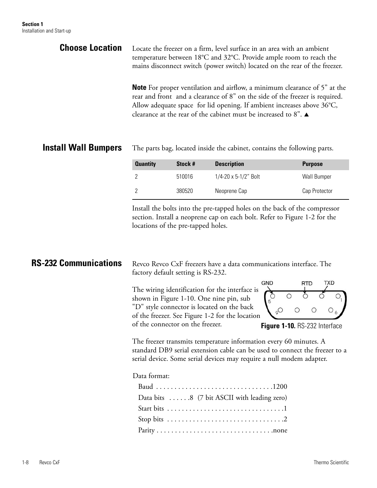| <b>Choose Location</b>      | Locate the freezer on a firm, level surface in an area with an ambient<br>temperature between 18°C and 32°C. Provide ample room to reach the<br>mains disconnect switch (power switch) located on the rear of the freezer.                                                                                                   |  |  |
|-----------------------------|------------------------------------------------------------------------------------------------------------------------------------------------------------------------------------------------------------------------------------------------------------------------------------------------------------------------------|--|--|
|                             | <b>Note</b> For proper ventilation and airflow, a minimum clearance of 5" at the<br>rear and front and a clearance of 8" on the side of the freezer is required.<br>Allow adequate space for lid opening. If ambient increases above 36°C,<br>clearance at the rear of the cabinet must be increased to 8". $\blacktriangle$ |  |  |
| <b>Install Wall Bumpers</b> | The parts bag, located inside the cabinet, contains the following parts.                                                                                                                                                                                                                                                     |  |  |

| <b>Quantity</b> | Stock # | <b>Description</b>   | <b>Purpose</b> |
|-----------------|---------|----------------------|----------------|
|                 | 510016  | 1/4-20 x 5-1/2" Bolt | Wall Bumper    |
|                 | 380520  | Neoprene Cap         | Cap Protector  |

Install the bolts into the pre-tapped holes on the back of the compressor section. Install a neoprene cap on each bolt. Refer to Figure 1-2 for the locations of the pre-tapped holes.

#### **RS-232 Communications** Revco Revco CxF freezers have a data communications interface. The factory default setting is RS-232. **GND** TXD **RTD** The wiring identification for the interface is ð  $\circ$ shown in Figure 1-10. One nine pin, sub "D" style connector is located on the back  $O_{\varrho}$  $\circ$  $\circ$ of the freezer. See Figure 1-2 for the location of the connector on the freezer.

**Figure 1-10.** RS-232 Interface

The freezer transmits temperature information every 60 minutes. A standard DB9 serial extension cable can be used to connect the freezer to a serial device. Some serial devices may require a null modem adapter.

## Data format:

| Data bits 8 (7 bit ASCII with leading zero) |
|---------------------------------------------|
|                                             |
|                                             |
|                                             |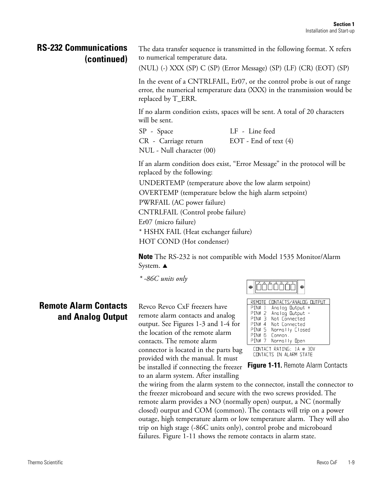## **RS-232 Communications (continued)**

The data transfer sequence is transmitted in the following format. X refers to numerical temperature data.

(NUL) (-) XXX (SP) C (SP) (Error Message) (SP) (LF) (CR) (EOT) (SP)

In the event of a CNTRLFAIL, Er07, or the control probe is out of range error, the numerical temperature data (XXX) in the transmission would be replaced by T\_ERR.

If no alarm condition exists, spaces will be sent. A total of 20 characters will be sent.

SP - Space LF - Line feed

CR - Carriage return EOT - End of text (4)

NUL - Null character (00)

If an alarm condition does exist, "Error Message" in the protocol will be replaced by the following:

UNDERTEMP (temperature above the low alarm setpoint) OVERTEMP (temperature below the high alarm setpoint) PWRFAIL (AC power failure) CNTRLFAIL (Control probe failure) Er07 (micro failure) \* HSHX FAIL (Heat exchanger failure) HOT COND (Hot condenser)

**Note** The RS-232 is not compatible with Model 1535 Monitor/Alarm System.  $\triangle$ 

*\* -86C units only*

## **Remote Alarm Contacts and Analog Output**

Revco Revco CxF freezers have remote alarm contacts and analog output. See Figures 1-3 and 1-4 for the location of the remote alarm contacts. The remote alarm connector is located in the parts bag provided with the manual. It must be installed if connecting the freezer **Figure 1-11.** Remote Alarm Contacts to an alarm system. After installing



|          | REMOTE CONTACTS/ANALOG OUTPUT |
|----------|-------------------------------|
| $PINH$ 1 | Analog Dutput +               |
| $PINH$ 2 | Analog Dutput -               |
| PIN# 3   | Not Connected                 |
| $PINH$ 4 | Not Connected                 |
| PIN# 5   | Normally Closed               |
| PIN# 6   | Common .                      |
| PIN# 7   | Normally Open                 |
|          | CONTACT RATING: 1A @ 30V      |
|          | CONTACTS IN ALARM STATE       |
|          |                               |

the wiring from the alarm system to the connector, install the connector to the freezer microboard and secure with the two screws provided. The remote alarm provides a NO (normally open) output, a NC (normally closed) output and COM (common). The contacts will trip on a power outage, high temperature alarm or low temperature alarm. They will also trip on high stage (-86C units only), control probe and microboard failures. Figure 1-11 shows the remote contacts in alarm state.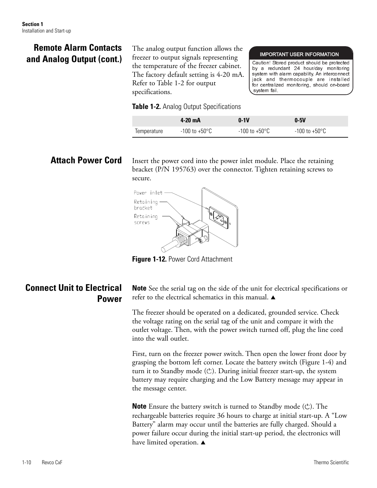## **Remote Alarm Contacts and Analog Output (cont.)**

The analog output function allows the freezer to output signals representing the temperature of the freezer cabinet. The factory default setting is 4-20 mA. Refer to Table 1-2 for output specifications.

## **Table 1-2.** Analog Output Specifications

# **4-20 mA 0-1V 0-5V** Temperature  $-100$  to  $+50^{\circ}$ C  $-100$  to  $+50^{\circ}$ C  $-100$  to  $+50^{\circ}$ C

system fail.

IMPORTANT USER INFORMATION Caution! Stored product should be protected by a redundant 24 hour/day monitoring system with alarm capability. An interconnect jack and thermocouple are installed for centralized monitoring, should on-board

## **Attach Power Cord**

Insert the power cord into the power inlet module. Place the retaining bracket (P/N 195763) over the connector. Tighten retaining screws to secure.



**Figure 1-12. Power Cord Attachment** 

## **Connect Unit to Electrical Power**

**Note** See the serial tag on the side of the unit for electrical specifications or refer to the electrical schematics in this manual.  $\triangle$ 

The freezer should be operated on a dedicated, grounded service. Check the voltage rating on the serial tag of the unit and compare it with the outlet voltage. Then, with the power switch turned off, plug the line cord into the wall outlet.

First, turn on the freezer power switch. Then open the lower front door by grasping the bottom left corner. Locate the battery switch (Figure 1-4) and turn it to Standby mode  $(\circlearrowright)$ . During initial freezer start-up, the system battery may require charging and the Low Battery message may appear in the message center.

**Note** Ensure the battery switch is turned to Standby mode  $(\circ)$ . The rechargeable batteries require 36 hours to charge at initial start-up. A "Low Battery" alarm may occur until the batteries are fully charged. Should a power failure occur during the initial start-up period, the electronics will have limited operation.  $\triangle$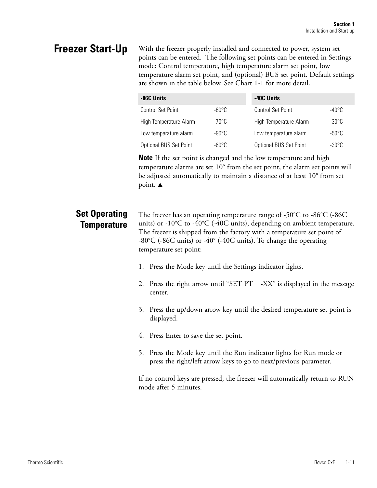# **Freezer Start-Up**

With the freezer properly installed and connected to power, system set points can be entered. The following set points can be entered in Settings mode: Control temperature, high temperature alarm set point, low temperature alarm set point, and (optional) BUS set point. Default settings are shown in the table below. See Chart 1-1 for more detail.

| -86C Units               |                 | -40C Units               |                 |  |
|--------------------------|-----------------|--------------------------|-----------------|--|
| <b>Control Set Point</b> | $-80^{\circ}$ C | <b>Control Set Point</b> | -40°C           |  |
| High Temperature Alarm   | -70°C           | High Temperature Alarm   | $-30^{\circ}$ C |  |
| Low temperature alarm    | $-90^{\circ}$ C | Low temperature alarm    | $-50^{\circ}$ C |  |
| Optional BUS Set Point   | $-60^{\circ}$ C | Optional BUS Set Point   | $-30^{\circ}$ C |  |

**Note** If the set point is changed and the low temperature and high temperature alarms are set 10° from the set point, the alarm set points will be adjusted automatically to maintain a distance of at least 10° from set point.  $\triangle$ 

## **Set Operating Temperature**

The freezer has an operating temperature range of -50 $\degree$ C to -86 $\degree$ C (-86C units) or -10°C to -40°C (-40C units), depending on ambient temperature. The freezer is shipped from the factory with a temperature set point of -80°C (-86C units) or -40° (-40C units). To change the operating temperature set point:

- 1. Press the Mode key until the Settings indicator lights.
- 2. Press the right arrow until "SET PT = -XX" is displayed in the message center.
- 3. Press the up/down arrow key until the desired temperature set point is displayed.
- 4. Press Enter to save the set point.
- 5. Press the Mode key until the Run indicator lights for Run mode or press the right/left arrow keys to go to next/previous parameter.

If no control keys are pressed, the freezer will automatically return to RUN mode after 5 minutes.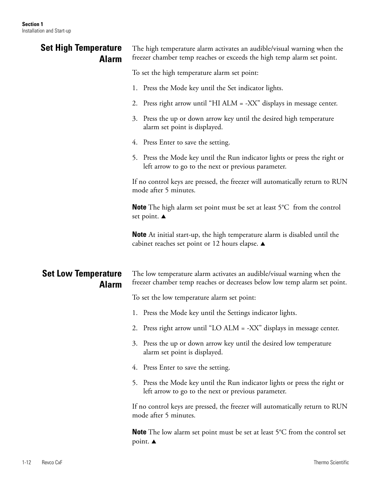| <b>Set High Temperature</b><br><b>Alarm</b> | The high temperature alarm activates an audible/visual warning when the<br>freezer chamber temp reaches or exceeds the high temp alarm set point.   |  |  |
|---------------------------------------------|-----------------------------------------------------------------------------------------------------------------------------------------------------|--|--|
|                                             | To set the high temperature alarm set point:                                                                                                        |  |  |
|                                             | 1. Press the Mode key until the Set indicator lights.                                                                                               |  |  |
|                                             | 2. Press right arrow until "HI ALM = -XX" displays in message center.                                                                               |  |  |
|                                             | 3. Press the up or down arrow key until the desired high temperature<br>alarm set point is displayed.                                               |  |  |
|                                             | 4. Press Enter to save the setting.                                                                                                                 |  |  |
|                                             | 5. Press the Mode key until the Run indicator lights or press the right or<br>left arrow to go to the next or previous parameter.                   |  |  |
|                                             | If no control keys are pressed, the freezer will automatically return to RUN<br>mode after 5 minutes.                                               |  |  |
|                                             | <b>Note</b> The high alarm set point must be set at least 5°C from the control<br>set point. ▲                                                      |  |  |
|                                             | <b>Note</b> At initial start-up, the high temperature alarm is disabled until the<br>cabinet reaches set point or 12 hours elapse. ▲                |  |  |
|                                             |                                                                                                                                                     |  |  |
| <b>Set Low Temperature</b><br><b>Alarm</b>  | The low temperature alarm activates an audible/visual warning when the<br>freezer chamber temp reaches or decreases below low temp alarm set point. |  |  |
|                                             | To set the low temperature alarm set point:                                                                                                         |  |  |
|                                             | 1. Press the Mode key until the Settings indicator lights.                                                                                          |  |  |
|                                             | 2. Press right arrow until "LO ALM = -XX" displays in message center.                                                                               |  |  |
|                                             | 3. Press the up or down arrow key until the desired low temperature<br>alarm set point is displayed.                                                |  |  |
|                                             | 4. Press Enter to save the setting.                                                                                                                 |  |  |
|                                             | 5. Press the Mode key until the Run indicator lights or press the right or<br>left arrow to go to the next or previous parameter.                   |  |  |
|                                             | If no control keys are pressed, the freezer will automatically return to RUN<br>mode after 5 minutes.                                               |  |  |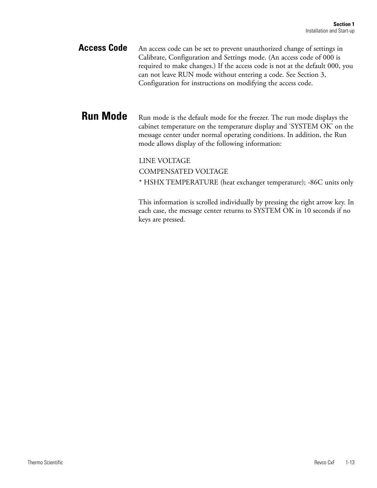An access code can be set to prevent unauthorized change of settings in Calibrate, Configuration and Settings mode. (An access code of 000 is required to make changes.) If the access code is not at the default 000, you can not leave RUN mode without entering a code. See Section 3, Configuration for instructions on modifying the access code. **Access Code**

Run mode is the default mode for the freezer. The run mode displays the cabinet temperature on the temperature display and 'SYSTEM OK' on the message center under normal operating conditions. In addition, the Run mode allows display of the following information: **Run Mode**

LINE VOLTAGE

COMPENSATED VOLTAGE

\* HSHX TEMPERATURE (heat exchanger temperature); -86C units only

This information is scrolled individually by pressing the right arrow key. In each case, the message center returns to SYSTEM OK in 10 seconds if no keys are pressed.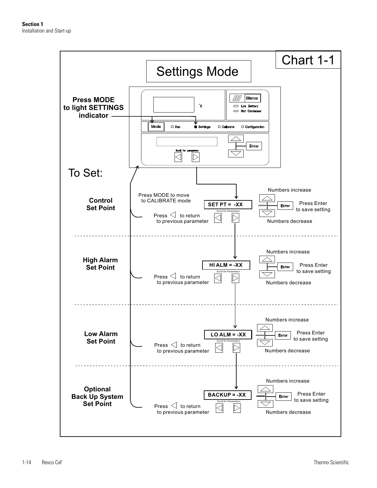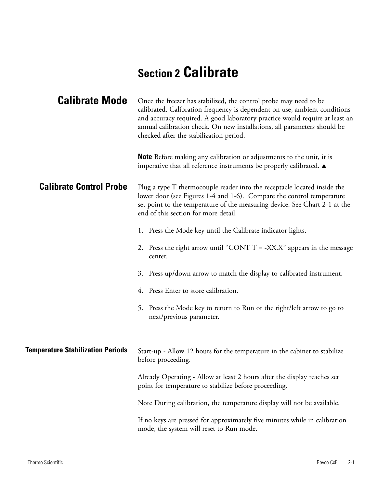# **Section 2 Calibrate**

| <b>Calibrate Mode</b>                    | Once the freezer has stabilized, the control probe may need to be<br>calibrated. Calibration frequency is dependent on use, ambient conditions<br>and accuracy required. A good laboratory practice would require at least an<br>annual calibration check. On new installations, all parameters should be<br>checked after the stabilization period. |
|------------------------------------------|------------------------------------------------------------------------------------------------------------------------------------------------------------------------------------------------------------------------------------------------------------------------------------------------------------------------------------------------------|
|                                          | <b>Note</b> Before making any calibration or adjustments to the unit, it is<br>imperative that all reference instruments be properly calibrated. $\blacktriangle$                                                                                                                                                                                    |
| <b>Calibrate Control Probe</b>           | Plug a type T thermocouple reader into the receptacle located inside the<br>lower door (see Figures 1-4 and 1-6). Compare the control temperature<br>set point to the temperature of the measuring device. See Chart 2-1 at the<br>end of this section for more detail.                                                                              |
|                                          | 1. Press the Mode key until the Calibrate indicator lights.                                                                                                                                                                                                                                                                                          |
|                                          | 2. Press the right arrow until "CONT T = -XX.X" appears in the message<br>center.                                                                                                                                                                                                                                                                    |
|                                          | 3. Press up/down arrow to match the display to calibrated instrument.                                                                                                                                                                                                                                                                                |
|                                          | 4. Press Enter to store calibration.                                                                                                                                                                                                                                                                                                                 |
|                                          | 5. Press the Mode key to return to Run or the right/left arrow to go to<br>next/previous parameter.                                                                                                                                                                                                                                                  |
| <b>Temperature Stabilization Periods</b> | Start-up - Allow 12 hours for the temperature in the cabinet to stabilize<br>before proceeding.                                                                                                                                                                                                                                                      |
|                                          | Already Operating - Allow at least 2 hours after the display reaches set<br>point for temperature to stabilize before proceeding.                                                                                                                                                                                                                    |
|                                          | Note During calibration, the temperature display will not be available.                                                                                                                                                                                                                                                                              |
|                                          | If no keys are pressed for approximately five minutes while in calibration<br>mode, the system will reset to Run mode.                                                                                                                                                                                                                               |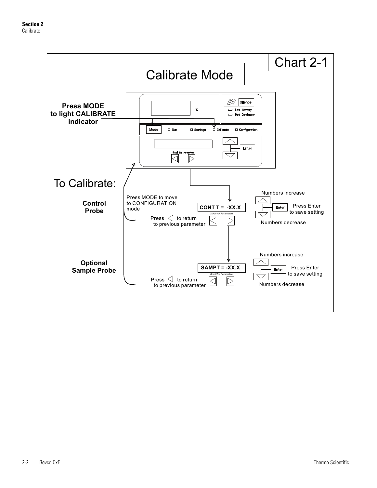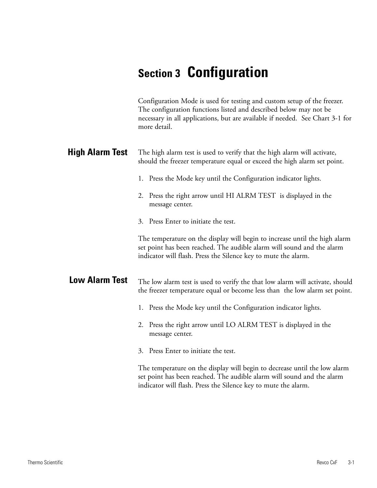# **Section 3 Configuration**

| Configuration Mode is used for testing and custom setup of the freezer.                       |  |
|-----------------------------------------------------------------------------------------------|--|
| The configuration functions listed and described below may not be                             |  |
| necessary in all applications, but are available if needed. See Chart 3-1 for<br>more detail. |  |

| <b>High Alarm Test</b> | The high alarm test is used to verify that the high alarm will activate,<br>should the freezer temperature equal or exceed the high alarm set point.                                                                   |
|------------------------|------------------------------------------------------------------------------------------------------------------------------------------------------------------------------------------------------------------------|
|                        | 1. Press the Mode key until the Configuration indicator lights.                                                                                                                                                        |
|                        | 2. Press the right arrow until HI ALRM TEST is displayed in the<br>message center.                                                                                                                                     |
|                        | 3. Press Enter to initiate the test.                                                                                                                                                                                   |
|                        | The temperature on the display will begin to increase until the high alarm<br>set point has been reached. The audible alarm will sound and the alarm<br>indicator will flash. Press the Silence key to mute the alarm. |
| <b>Low Alarm Test</b>  | The low alarm test is used to verify the that low alarm will activate, should<br>the freezer temperature equal or become less than the low alarm set point.                                                            |
|                        | 1. Press the Mode key until the Configuration indicator lights.                                                                                                                                                        |
|                        | 2. Press the right arrow until LO ALRM TEST is displayed in the<br>message center.                                                                                                                                     |
|                        | 3. Press Enter to initiate the test.                                                                                                                                                                                   |
|                        |                                                                                                                                                                                                                        |

The temperature on the display will begin to decrease until the low alarm set point has been reached. The audible alarm will sound and the alarm indicator will flash. Press the Silence key to mute the alarm.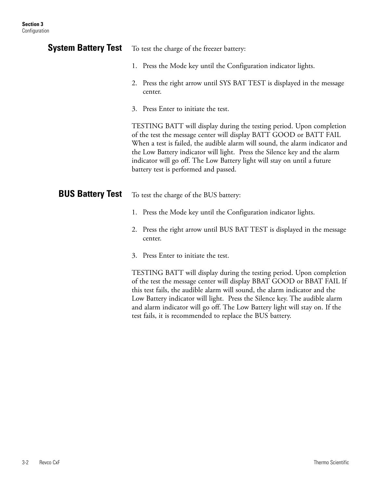| <b>System Battery Test</b> | To test the charge of the freezer battery:                                                                                                                                                                                                                                                                                                                                                                                   |
|----------------------------|------------------------------------------------------------------------------------------------------------------------------------------------------------------------------------------------------------------------------------------------------------------------------------------------------------------------------------------------------------------------------------------------------------------------------|
|                            | 1. Press the Mode key until the Configuration indicator lights.                                                                                                                                                                                                                                                                                                                                                              |
|                            | 2. Press the right arrow until SYS BAT TEST is displayed in the message<br>center.                                                                                                                                                                                                                                                                                                                                           |
|                            | 3. Press Enter to initiate the test.                                                                                                                                                                                                                                                                                                                                                                                         |
|                            | TESTING BATT will display during the testing period. Upon completion<br>of the test the message center will display BATT GOOD or BATT FAIL<br>When a test is failed, the audible alarm will sound, the alarm indicator and<br>the Low Battery indicator will light. Press the Silence key and the alarm<br>indicator will go off. The Low Battery light will stay on until a future<br>battery test is performed and passed. |
| <b>BUS Battery Test</b>    | To test the charge of the BUS battery:                                                                                                                                                                                                                                                                                                                                                                                       |
|                            | 1. Press the Mode key until the Configuration indicator lights.                                                                                                                                                                                                                                                                                                                                                              |
|                            | 2. Press the right arrow until BUS BAT TEST is displayed in the message<br>center.                                                                                                                                                                                                                                                                                                                                           |
|                            | 3. Press Enter to initiate the test.                                                                                                                                                                                                                                                                                                                                                                                         |
|                            | $TECTIMC$ $RATT$ will display during the testing period. Upon completion                                                                                                                                                                                                                                                                                                                                                     |

TESTING BATT will display during the testing period. Upon completion of the test the message center will display BBAT GOOD or BBAT FAIL If this test fails, the audible alarm will sound, the alarm indicator and the Low Battery indicator will light. Press the Silence key. The audible alarm and alarm indicator will go off. The Low Battery light will stay on. If the test fails, it is recommended to replace the BUS battery.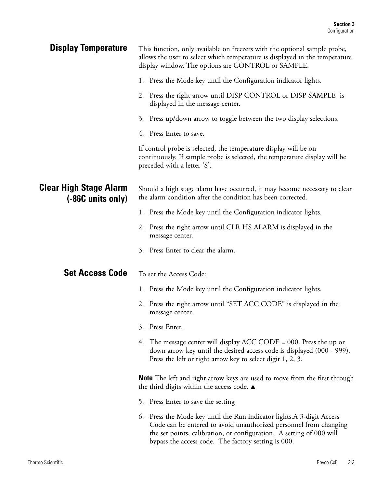| <b>Display Temperature</b>                         | This function, only available on freezers with the optional sample probe,<br>allows the user to select which temperature is displayed in the temperature<br>display window. The options are CONTROL or SAMPLE.                                                               |
|----------------------------------------------------|------------------------------------------------------------------------------------------------------------------------------------------------------------------------------------------------------------------------------------------------------------------------------|
|                                                    | 1. Press the Mode key until the Configuration indicator lights.                                                                                                                                                                                                              |
|                                                    | 2. Press the right arrow until DISP CONTROL or DISP SAMPLE is<br>displayed in the message center.                                                                                                                                                                            |
|                                                    | 3. Press up/down arrow to toggle between the two display selections.                                                                                                                                                                                                         |
|                                                    | 4. Press Enter to save.                                                                                                                                                                                                                                                      |
|                                                    | If control probe is selected, the temperature display will be on<br>continuously. If sample probe is selected, the temperature display will be<br>preceded with a letter 'S'.                                                                                                |
| <b>Clear High Stage Alarm</b><br>(-86C units only) | Should a high stage alarm have occurred, it may become necessary to clear<br>the alarm condition after the condition has been corrected.                                                                                                                                     |
|                                                    | 1. Press the Mode key until the Configuration indicator lights.                                                                                                                                                                                                              |
|                                                    | 2. Press the right arrow until CLR HS ALARM is displayed in the<br>message center.                                                                                                                                                                                           |
|                                                    | Press Enter to clear the alarm.<br>3.                                                                                                                                                                                                                                        |
| <b>Set Access Code</b>                             | To set the Access Code:                                                                                                                                                                                                                                                      |
|                                                    | 1. Press the Mode key until the Configuration indicator lights.                                                                                                                                                                                                              |
|                                                    | Press the right arrow until "SET ACC CODE" is displayed in the<br>2.<br>message center.                                                                                                                                                                                      |
|                                                    | Press Enter.<br>3.                                                                                                                                                                                                                                                           |
|                                                    | 4. The message center will display ACC CODE = 000. Press the up or<br>down arrow key until the desired access code is displayed (000 - 999).<br>Press the left or right arrow key to select digit 1, 2, 3.                                                                   |
|                                                    | <b>Note</b> The left and right arrow keys are used to move from the first through<br>the third digits within the access code. ▲                                                                                                                                              |
|                                                    | Press Enter to save the setting<br>5.                                                                                                                                                                                                                                        |
|                                                    | Press the Mode key until the Run indicator lights.A 3-digit Access<br>6.<br>Code can be entered to avoid unauthorized personnel from changing<br>the set points, calibration, or configuration. A setting of 000 will<br>bypass the access code. The factory setting is 000. |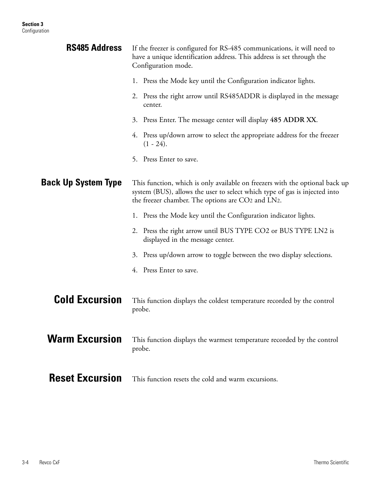| <b>RS485 Address</b>       | If the freezer is configured for RS-485 communications, it will need to<br>have a unique identification address. This address is set through the<br>Configuration mode.                                         |  |
|----------------------------|-----------------------------------------------------------------------------------------------------------------------------------------------------------------------------------------------------------------|--|
|                            | 1. Press the Mode key until the Configuration indicator lights.                                                                                                                                                 |  |
|                            | Press the right arrow until RS485ADDR is displayed in the message<br>2.<br>center.                                                                                                                              |  |
|                            | Press Enter. The message center will display 485 ADDR XX.<br>3.                                                                                                                                                 |  |
|                            | Press up/down arrow to select the appropriate address for the freezer<br>4.<br>$(1 - 24)$ .                                                                                                                     |  |
|                            | Press Enter to save.<br>5.                                                                                                                                                                                      |  |
| <b>Back Up System Type</b> | This function, which is only available on freezers with the optional back up<br>system (BUS), allows the user to select which type of gas is injected into<br>the freezer chamber. The options are CO2 and LN2. |  |
|                            | 1. Press the Mode key until the Configuration indicator lights.                                                                                                                                                 |  |
|                            | 2. Press the right arrow until BUS TYPE CO2 or BUS TYPE LN2 is<br>displayed in the message center.                                                                                                              |  |
|                            | 3. Press up/down arrow to toggle between the two display selections.                                                                                                                                            |  |
|                            | Press Enter to save.<br>4.                                                                                                                                                                                      |  |
| <b>Cold Excursion</b>      | This function displays the coldest temperature recorded by the control<br>probe.                                                                                                                                |  |
| <b>Warm Excursion</b>      | This function displays the warmest temperature recorded by the control<br>probe.                                                                                                                                |  |
| <b>Reset Excursion</b>     | This function resets the cold and warm excursions.                                                                                                                                                              |  |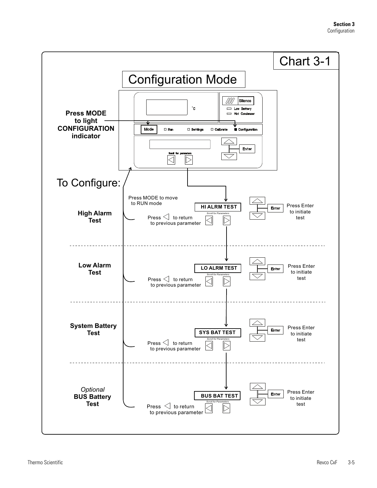#### **Section 3** Configuration

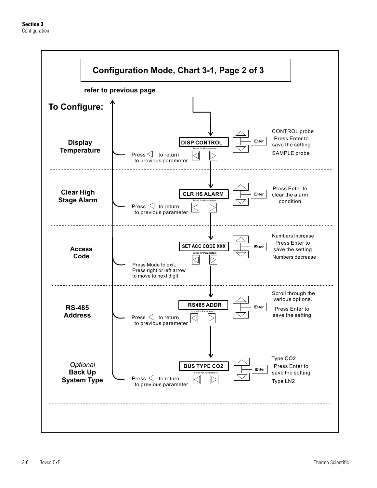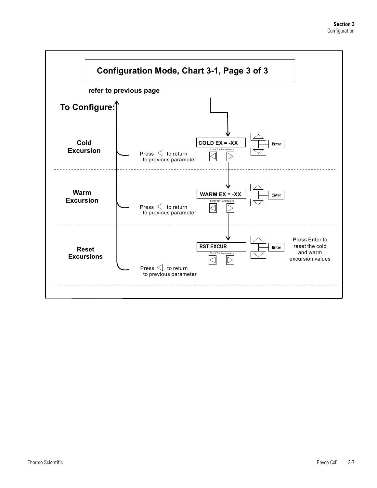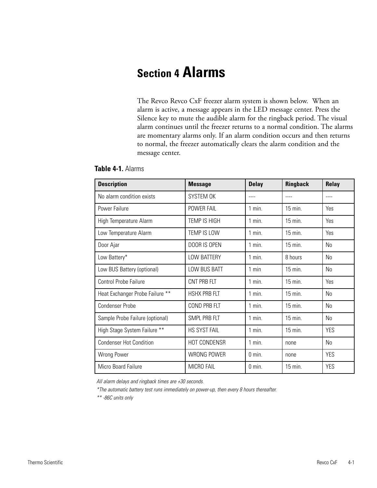# **Section 4 Alarms**

The Revco Revco CxF freezer alarm system is shown below. When an alarm is active, a message appears in the LED message center. Press the Silence key to mute the audible alarm for the ringback period. The visual alarm continues until the freezer returns to a normal condition. The alarms are momentary alarms only. If an alarm condition occurs and then returns to normal, the freezer automatically clears the alarm condition and the message center.

| <b>Description</b>              | <b>Message</b>      | <b>Delay</b>      | <b>Ringback</b>  | Relay      |
|---------------------------------|---------------------|-------------------|------------------|------------|
| No alarm condition exists       | SYSTEM OK           |                   |                  | ----       |
| Power Failure                   | POWER FAIL          | $1$ min.          | $15$ min.        | Yes        |
| High Temperature Alarm          | TEMP IS HIGH        | $1$ min.          | $15$ min.        | Yes        |
| Low Temperature Alarm           | TEMP IS LOW         | $1$ min.          | $15$ min.        | Yes        |
| Door Ajar                       | DOOR IS OPEN        | $1$ min.          | $15$ min.        | No         |
| Low Battery*                    | <b>LOW BATTERY</b>  | $1$ min.          | 8 hours          | No         |
| Low BUS Battery (optional)      | LOW BUS BATT        | $1$ min           | $15$ min.        | No         |
| <b>Control Probe Failure</b>    | CNT PRB FLT         | $1$ min.          | $15 \text{ min}$ | Yes        |
| Heat Exchanger Probe Failure ** | <b>HSHX PRB FLT</b> | $1$ min.          | $15$ min.        | No         |
| <b>Condenser Probe</b>          | COND PRB FLT        | $1$ min.          | $15$ min.        | No         |
| Sample Probe Failure (optional) | SMPL PRB FLT        | $1$ min.          | $15$ min.        | No         |
| High Stage System Failure **    | HS SYST FAIL        | $1$ min.          | 15 min.          | <b>YES</b> |
| <b>Condenser Hot Condition</b>  | HOT CONDENSR        | $1$ min.          | none             | No         |
| Wrong Power                     | WRONG POWER         | $0$ min.          | none             | <b>YES</b> |
| Micro Board Failure             | MICRO FAIL          | $0 \text{ min}$ . | $15$ min.        | <b>YES</b> |

### **Table 4-1.** Alarms

All alarm delays and ringback times are +30 seconds.

\*The automatic battery test runs immediately on power-up, then every 8 hours thereafter.

\*\* -86C units only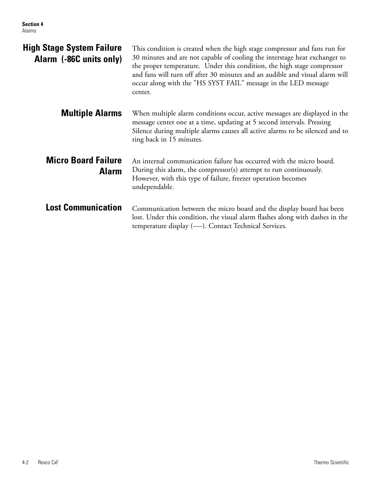| <b>High Stage System Failure</b><br>Alarm (-86C units only) | This condition is created when the high stage compressor and fans run for<br>30 minutes and are not capable of cooling the interstage heat exchanger to<br>the proper temperature. Under this condition, the high stage compressor<br>and fans will turn off after 30 minutes and an audible and visual alarm will<br>occur along with the "HS SYST FAIL" message in the LED message<br>center. |
|-------------------------------------------------------------|-------------------------------------------------------------------------------------------------------------------------------------------------------------------------------------------------------------------------------------------------------------------------------------------------------------------------------------------------------------------------------------------------|
| <b>Multiple Alarms</b>                                      | When multiple alarm conditions occur, active messages are displayed in the<br>message center one at a time, updating at 5 second intervals. Pressing<br>Silence during multiple alarms causes all active alarms to be silenced and to<br>ring back in 15 minutes.                                                                                                                               |
| <b>Micro Board Failure</b><br><b>Alarm</b>                  | An internal communication failure has occurred with the micro board.<br>During this alarm, the compressor(s) attempt to run continuously.<br>However, with this type of failure, freezer operation becomes<br>undependable.                                                                                                                                                                     |
| <b>Lost Communication</b>                                   | Communication between the micro board and the display board has been<br>lost. Under this condition, the visual alarm flashes along with dashes in the<br>temperature display (----). Contact Technical Services.                                                                                                                                                                                |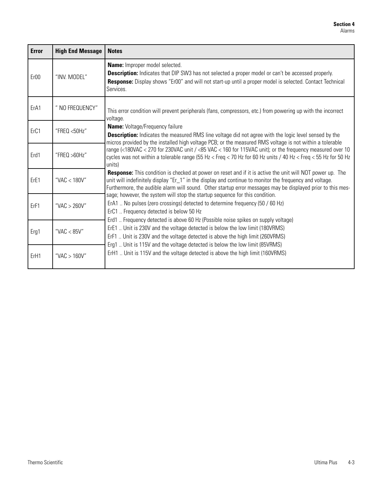| <b>Error</b>     | <b>High End Message</b> | <b>Notes</b>                                                                                                                                                                                                                                                                                                                                                                                                                                                                                                                                                                                                                                                                                                                                                                                                                                                                                                                                                                                                                                                                                                                                                                                                         |
|------------------|-------------------------|----------------------------------------------------------------------------------------------------------------------------------------------------------------------------------------------------------------------------------------------------------------------------------------------------------------------------------------------------------------------------------------------------------------------------------------------------------------------------------------------------------------------------------------------------------------------------------------------------------------------------------------------------------------------------------------------------------------------------------------------------------------------------------------------------------------------------------------------------------------------------------------------------------------------------------------------------------------------------------------------------------------------------------------------------------------------------------------------------------------------------------------------------------------------------------------------------------------------|
| Er <sub>00</sub> | "INV. MODEL"            | <b>Name:</b> Improper model selected.<br><b>Description:</b> Indicates that DIP SW3 has not selected a proper model or can't be accessed properly.<br>Response: Display shows "Er00" and will not start-up until a proper model is selected. Contact Technical<br>Services.                                                                                                                                                                                                                                                                                                                                                                                                                                                                                                                                                                                                                                                                                                                                                                                                                                                                                                                                          |
| ErA1             | " NO FREQUENCY"         | This error condition will prevent peripherals (fans, compressors, etc.) from powering up with the incorrect<br>voltage.                                                                                                                                                                                                                                                                                                                                                                                                                                                                                                                                                                                                                                                                                                                                                                                                                                                                                                                                                                                                                                                                                              |
| Er <sub>C1</sub> | "FREQ <50Hz"            | <b>Name:</b> Voltage/Frequency failure<br>Description: Indicates the measured RMS line voltage did not agree with the logic level sensed by the<br>micros provided by the installed high voltage PCB; or the measured RMS voltage is not within a tolerable                                                                                                                                                                                                                                                                                                                                                                                                                                                                                                                                                                                                                                                                                                                                                                                                                                                                                                                                                          |
| Erd1             | "FREQ $>60$ Hz"         | range (<180VAC < 270 for 230VAC unit / <85 VAC < 160 for 115VAC unit); or the frequency measured over 10<br>cycles was not within a tolerable range (55 Hz < Freq < 70 Hz for 60 Hz units / 40 Hz < Freq < 55 Hz for 50 Hz<br>units)<br><b>Response:</b> This condition is checked at power on reset and if it is active the unit will NOT power up. The<br>unit will indefinitely display "Er_1" in the display and continue to monitor the frequency and voltage.<br>Furthermore, the audible alarm will sound. Other startup error messages may be displayed prior to this mes-<br>sage; however, the system will stop the startup sequence for this condition.<br>ErA1  No pulses (zero crossings) detected to determine frequency (50 / 60 Hz)<br>ErC1  Frequency detected is below 50 Hz<br>Erd1  Frequency detected is above 60 Hz (Possible noise spikes on supply voltage)<br>ErE1  Unit is 230V and the voltage detected is below the low limit (180VRMS)<br>ErF1  Unit is 230V and the voltage detected is above the high limit (260VRMS)<br>Erg1  Unit is 115V and the voltage detected is below the low limit (85VRMS)<br>ErH1  Unit is 115V and the voltage detected is above the high limit (160VRMS) |
| ErE1             | "VAC $<$ 180V"          |                                                                                                                                                                                                                                                                                                                                                                                                                                                                                                                                                                                                                                                                                                                                                                                                                                                                                                                                                                                                                                                                                                                                                                                                                      |
| ErF1             | "VAC $>$ 260V"          |                                                                                                                                                                                                                                                                                                                                                                                                                                                                                                                                                                                                                                                                                                                                                                                                                                                                                                                                                                                                                                                                                                                                                                                                                      |
| Erg1             | "VAC $<$ 85V"           |                                                                                                                                                                                                                                                                                                                                                                                                                                                                                                                                                                                                                                                                                                                                                                                                                                                                                                                                                                                                                                                                                                                                                                                                                      |
| ErH1             | "VAC $> 160V$ "         |                                                                                                                                                                                                                                                                                                                                                                                                                                                                                                                                                                                                                                                                                                                                                                                                                                                                                                                                                                                                                                                                                                                                                                                                                      |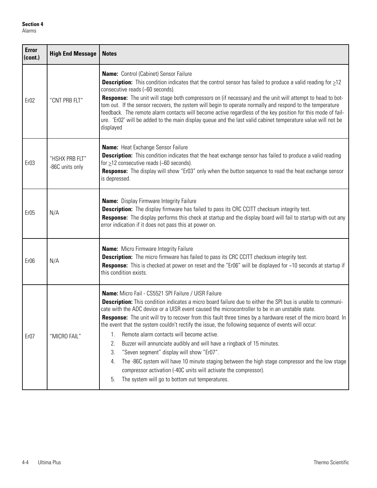| <b>Error</b><br>(cont.) | <b>High End Message</b>           | <b>Notes</b>                                                                                                                                                                                                                                                                                                                                                                                                                                                                                                                                                                                                                                                                                                                                                                                                                                                                                                                           |  |  |
|-------------------------|-----------------------------------|----------------------------------------------------------------------------------------------------------------------------------------------------------------------------------------------------------------------------------------------------------------------------------------------------------------------------------------------------------------------------------------------------------------------------------------------------------------------------------------------------------------------------------------------------------------------------------------------------------------------------------------------------------------------------------------------------------------------------------------------------------------------------------------------------------------------------------------------------------------------------------------------------------------------------------------|--|--|
| Er <sub>02</sub>        | "CNT PRB FLT"                     | <b>Name:</b> Control (Cabinet) Sensor Failure<br><b>Description:</b> This condition indicates that the control sensor has failed to produce a valid reading for $\geq$ 12<br>consecutive reads (~60 seconds).<br>Response: The unit will stage both compressors on (if necessary) and the unit will attempt to head to bot-<br>tom out. If the sensor recovers, the system will begin to operate normally and respond to the temperature<br>feedback. The remote alarm contacts will become active regardless of the key position for this mode of fail-<br>ure. 'Er02' will be added to the main display queue and the last valid cabinet temperature value will not be<br>displayed                                                                                                                                                                                                                                                  |  |  |
| Er <sub>03</sub>        | "HSHX PRB FLT"<br>-86C units only | <b>Name:</b> Heat Exchange Sensor Failure<br>Description: This condition indicates that the heat exchange sensor has failed to produce a valid reading<br>for $\geq$ 12 consecutive reads (~60 seconds).<br><b>Response:</b> The display will show "Er03" only when the button sequence to read the heat exchange sensor<br>is depressed.                                                                                                                                                                                                                                                                                                                                                                                                                                                                                                                                                                                              |  |  |
| Er <sub>05</sub>        | N/A                               | <b>Name:</b> Display Firmware Integrity Failure<br><b>Description:</b> The display firmware has failed to pass its CRC CCITT checksum integrity test.<br>Response: The display performs this check at startup and the display board will fail to startup with out any<br>error indication if it does not pass this at power on.                                                                                                                                                                                                                                                                                                                                                                                                                                                                                                                                                                                                        |  |  |
| Er <sub>06</sub>        | N/A                               | <b>Name:</b> Micro Firmware Integrity Failure<br><b>Description:</b> The micro firmware has failed to pass its CRC CCITT checksum integrity test.<br><b>Response:</b> This is checked at power on reset and the "Er06" will be displayed for ~10 seconds at startup if<br>this condition exists.                                                                                                                                                                                                                                                                                                                                                                                                                                                                                                                                                                                                                                       |  |  |
| Er <sub>07</sub>        | "MICRO FAIL"                      | Name: Micro Fail - CS5521 SPI Failure / UISR Failure<br><b>Description:</b> This condition indicates a micro board failure due to either the SPI bus is unable to communi-<br>cate with the ADC device or a UISR event caused the microcontroller to be in an unstable state.<br><b>Response:</b> The unit will try to recover from this fault three times by a hardware reset of the micro board. In<br>the event that the system couldn't rectify the issue, the following sequence of events will occur:<br>Remote alarm contacts will become active.<br>1.<br>Buzzer will annunciate audibly and will have a ringback of 15 minutes.<br>2.<br>"Seven segment" display will show "Er07".<br>3.<br>The -86C system will have 10 minute staging between the high stage compressor and the low stage<br>4.<br>compressor activation (-40C units will activate the compressor).<br>The system will go to bottom out temperatures.<br>5. |  |  |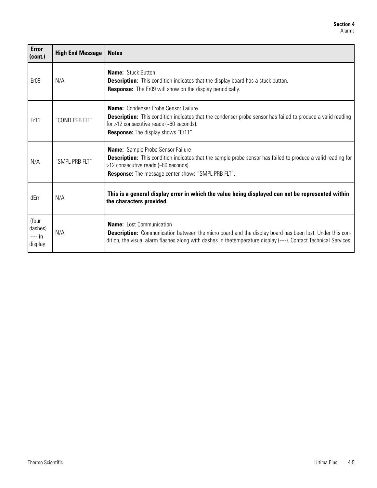| <b>Error</b><br>(cont.)                 | <b>High End Message</b> | <b>Notes</b>                                                                                                                                                                                                                                                              |
|-----------------------------------------|-------------------------|---------------------------------------------------------------------------------------------------------------------------------------------------------------------------------------------------------------------------------------------------------------------------|
| Er <sub>09</sub>                        | N/A                     | <b>Name: Stuck Button</b><br><b>Description:</b> This condition indicates that the display board has a stuck button.<br><b>Response:</b> The Er09 will show on the display periodically.                                                                                  |
| Er11                                    | "COND PRB FLT"          | <b>Name:</b> Condenser Probe Sensor Failure<br><b>Description:</b> This condition indicates that the condenser probe sensor has failed to produce a valid reading<br>for $\geq$ 12 consecutive reads (~60 seconds).<br><b>Response:</b> The display shows "Er11".         |
| N/A                                     | "SMPL PRB FLT"          | <b>Name:</b> Sample Probe Sensor Failure<br><b>Description:</b> This condition indicates that the sample probe sensor has failed to produce a valid reading for<br>$\ge$ 12 consecutive reads (~60 seconds).<br><b>Response:</b> The message center shows "SMPL PRB FLT". |
| dErr                                    | N/A                     | This is a general display error in which the value being displayed can not be represented within<br>the characters provided.                                                                                                                                              |
| (four<br>dashes)<br>$--- in$<br>display | N/A                     | <b>Name:</b> Lost Communication<br>Description: Communication between the micro board and the display board has been lost. Under this con-<br>dition, the visual alarm flashes along with dashes in thetemperature display (----). Contact Technical Services.            |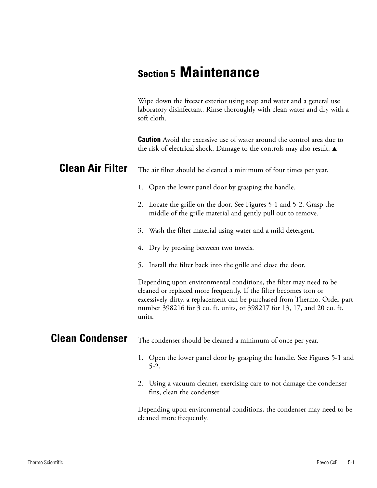# **Section 5 Maintenance**

Wipe down the freezer exterior using soap and water and a general use laboratory disinfectant. Rinse thoroughly with clean water and dry with a soft cloth.

**Caution** Avoid the excessive use of water around the control area due to the risk of electrical shock. Damage to the controls may also result.  $\blacktriangle$ 

#### The air filter should be cleaned a minimum of four times per year. **Clean Air Filter**

- 1. Open the lower panel door by grasping the handle.
- 2. Locate the grille on the door. See Figures 5-1 and 5-2. Grasp the middle of the grille material and gently pull out to remove.
- 3. Wash the filter material using water and a mild detergent.
- 4. Dry by pressing between two towels.
- 5. Install the filter back into the grille and close the door.

Depending upon environmental conditions, the filter may need to be cleaned or replaced more frequently. If the filter becomes torn or excessively dirty, a replacement can be purchased from Thermo. Order part number 398216 for 3 cu. ft. units, or 398217 for 13, 17, and 20 cu. ft. units.

#### The condenser should be cleaned a minimum of once per year. **Clean Condenser**

- 1. Open the lower panel door by grasping the handle. See Figures 5-1 and 5-2.
- 2. Using a vacuum cleaner, exercising care to not damage the condenser fins, clean the condenser.

Depending upon environmental conditions, the condenser may need to be cleaned more frequently.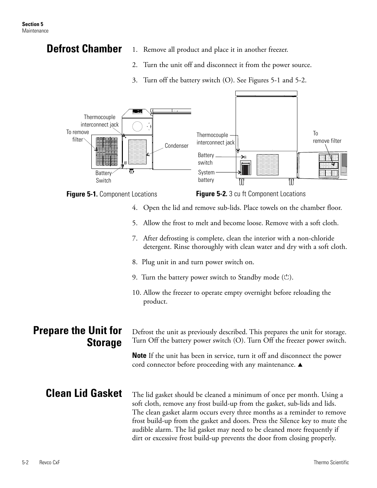# **Defrost Chamber**

- 1. Remove all product and place it in another freezer.
- 2. Turn the unit off and disconnect it from the power source.
- 3. Turn off the battery switch (O). See Figures 5-1 and 5-2.



- 5. Allow the frost to melt and become loose. Remove with a soft cloth.
- 7. After defrosting is complete, clean the interior with a non-chloride detergent. Rinse thoroughly with clean water and dry with a soft cloth.
- 8. Plug unit in and turn power switch on.
- 9. Turn the battery power switch to Standby mode  $(\circlearrowleft)$ .
- 10. Allow the freezer to operate empty overnight before reloading the product.

# **Prepare the Unit for Storage**

Defrost the unit as previously described. This prepares the unit for storage. Turn Off the battery power switch (O). Turn Off the freezer power switch.

**Note** If the unit has been in service, turn it off and disconnect the power cord connector before proceeding with any maintenance.  $\triangle$ 

# **Clean Lid Gasket**

The lid gasket should be cleaned a minimum of once per month. Using a soft cloth, remove any frost build-up from the gasket, sub-lids and lids. The clean gasket alarm occurs every three months as a reminder to remove frost build-up from the gasket and doors. Press the Silence key to mute the audible alarm. The lid gasket may need to be cleaned more frequently if dirt or excessive frost build-up prevents the door from closing properly.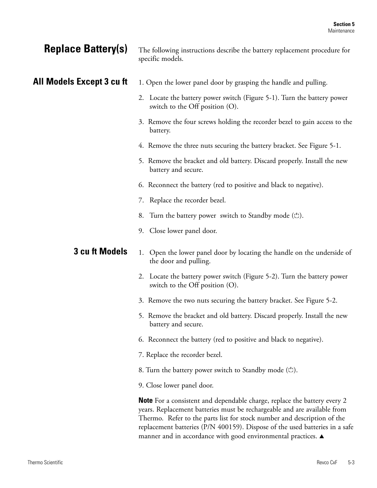# **Replace Battery(s)**

## **All Models Except 3 cu ft**

The following instructions describe the battery replacement procedure for specific models.

- 1. Open the lower panel door by grasping the handle and pulling.
- 2. Locate the battery power switch (Figure 5-1). Turn the battery power switch to the Off position (O).
- 3. Remove the four screws holding the recorder bezel to gain access to the battery.
- 4. Remove the three nuts securing the battery bracket. See Figure 5-1.
- 5. Remove the bracket and old battery. Discard properly. Install the new battery and secure.
- 6. Reconnect the battery (red to positive and black to negative).
- 7. Replace the recorder bezel.
- 8. Turn the battery power switch to Standby mode  $(\circlearrowleft)$ .
- 9. Close lower panel door.

#### 1. Open the lower panel door by locating the handle on the underside of the door and pulling. **3 cu ft Models**

- 2. Locate the battery power switch (Figure 5-2). Turn the battery power switch to the Off position (O).
- 3. Remove the two nuts securing the battery bracket. See Figure 5-2.
- 5. Remove the bracket and old battery. Discard properly. Install the new battery and secure.
- 6. Reconnect the battery (red to positive and black to negative).
- 7. Replace the recorder bezel.
- 8. Turn the battery power switch to Standby mode  $(\circlearrowleft)$ .
- 9. Close lower panel door.

**Note** For a consistent and dependable charge, replace the battery every 2 years. Replacement batteries must be rechargeable and are available from Thermo. Refer to the parts list for stock number and description of the replacement batteries (P/N 400159). Dispose of the used batteries in a safe manner and in accordance with good environmental practices.  $\blacktriangle$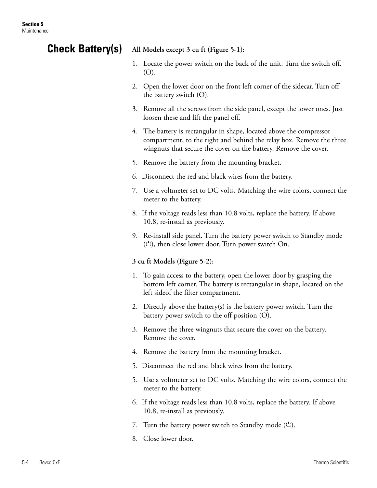## **Check Battery(s)**

**All Models except 3 cu ft (Figure 5-1):** 

- 1. Locate the power switch on the back of the unit. Turn the switch off. (O).
- 2. Open the lower door on the front left corner of the sidecar. Turn off the battery switch (O).
- 3. Remove all the screws from the side panel, except the lower ones. Just loosen these and lift the panel off.
- 4. The battery is rectangular in shape, located above the compressor compartment, to the right and behind the relay box. Remove the three wingnuts that secure the cover on the battery. Remove the cover.
- 5. Remove the battery from the mounting bracket.
- 6. Disconnect the red and black wires from the battery.
- 7. Use a voltmeter set to DC volts. Matching the wire colors, connect the meter to the battery.
- 8. If the voltage reads less than 10.8 volts, replace the battery. If above 10.8, re-install as previously.
- 9. Re-install side panel. Turn the battery power switch to Standby mode  $($ C $)$ , then close lower door. Turn power switch On.

## **3 cu ft Models (Figure 5-2):**

- 1. To gain access to the battery, open the lower door by grasping the bottom left corner. The battery is rectangular in shape, located on the left sideof the filter compartment.
- 2. Directly above the battery(s) is the battery power switch. Turn the battery power switch to the off position (O).
- 3. Remove the three wingnuts that secure the cover on the battery. Remove the cover.
- 4. Remove the battery from the mounting bracket.
- 5. Disconnect the red and black wires from the battery.
- 5. Use a voltmeter set to DC volts. Matching the wire colors, connect the meter to the battery.
- 6. If the voltage reads less than 10.8 volts, replace the battery. If above 10.8, re-install as previously.
- 7. Turn the battery power switch to Standby mode  $(\circlearrowleft)$ .
- 8. Close lower door.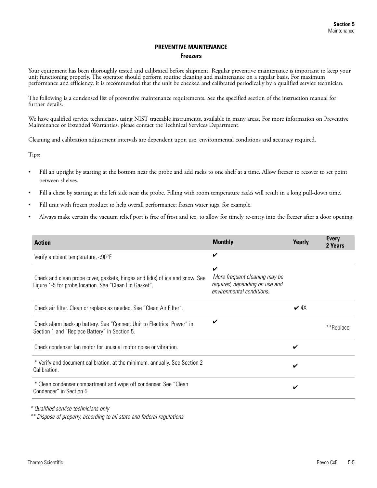### **PREVENTIVE MAINTENANCE**

#### **Freezers**

Your equipment has been thoroughly tested and calibrated before shipment. Regular preventive maintenance is important to keep your unit functioning properly. The operator should perform routine cleaning and maintenance on a regular basis. For maximum performance and efficiency, it is recommended that the unit be checked and calibrated periodically by a qualified service technician.

The following is a condensed list of preventive maintenance requirements. See the specified section of the instruction manual for further details.

We have qualified service technicians, using NIST traceable instruments, available in many areas. For more information on Preventive Maintenance or Extended Warranties, please contact the Technical Services Department.

Cleaning and calibration adjustment intervals are dependent upon use, environmental conditions and accuracy required.

Tips:

- Fill an upright by starting at the bottom near the probe and add racks to one shelf at a time. Allow freezer to recover to set point between shelves.
- Fill a chest by starting at the left side near the probe. Filling with room temperature racks will result in a long pull-down time.
- Fill unit with frozen product to help overall performance; frozen water jugs, for example.
- Always make certain the vacuum relief port is free of frost and ice, to allow for timely re-entry into the freezer after a door opening.

| <b>Action</b>                                                                                                                          | <b>Monthly</b>                                                                                    | Yearly    | <b>Every</b><br>2 Years |
|----------------------------------------------------------------------------------------------------------------------------------------|---------------------------------------------------------------------------------------------------|-----------|-------------------------|
| Verify ambient temperature, <90°F                                                                                                      | V                                                                                                 |           |                         |
| Check and clean probe cover, gaskets, hinges and lid(s) of ice and snow. See<br>Figure 1-5 for probe location. See "Clean Lid Gasket". | V<br>More frequent cleaning may be<br>required, depending on use and<br>environmental conditions. |           |                         |
| Check air filter. Clean or replace as needed. See "Clean Air Filter".                                                                  |                                                                                                   | $\vee$ 4X |                         |
| Check alarm back-up battery. See "Connect Unit to Electrical Power" in<br>Section 1 and "Replace Battery" in Section 5.                | V                                                                                                 |           | **Replace               |
| Check condenser fan motor for unusual motor noise or vibration.                                                                        |                                                                                                   | ✓         |                         |
| * Verify and document calibration, at the minimum, annually. See Section 2<br>Calibration.                                             |                                                                                                   | ✔         |                         |
| * Clean condenser compartment and wipe off condenser. See "Clean<br>Condenser" in Section 5.                                           |                                                                                                   | ✔         |                         |

\* Qualified service technicians only

\*\* Dispose of properly, according to all state and federal regulations.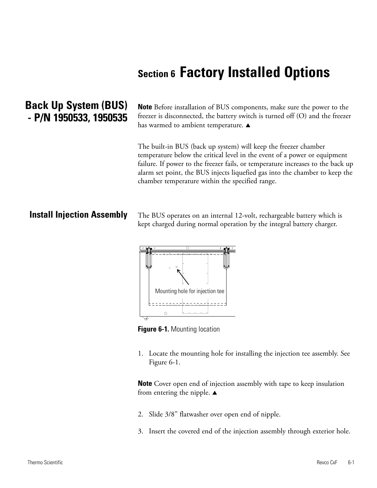# **Section 6 Factory Installed Options**

# **Back Up System (BUS) - P/N 1950533, 1950535**

**Note** Before installation of BUS components, make sure the power to the freezer is disconnected, the battery switch is turned off (O) and the freezer has warmed to ambient temperature.  $\blacktriangle$ 

The built-in BUS (back up system) will keep the freezer chamber temperature below the critical level in the event of a power or equipment failure. If power to the freezer fails, or temperature increases to the back up alarm set point, the BUS injects liquefied gas into the chamber to keep the chamber temperature within the specified range.

## **Install Injection Assembly**

The BUS operates on an internal 12-volt, rechargeable battery which is kept charged during normal operation by the integral battery charger.



**Figure 6-1. Mounting location** 

1. Locate the mounting hole for installing the injection tee assembly. See Figure 6-1.

**Note** Cover open end of injection assembly with tape to keep insulation from entering the nipple.  $\blacktriangle$ 

- 2. Slide 3/8" flatwasher over open end of nipple.
- 3. Insert the covered end of the injection assembly through exterior hole.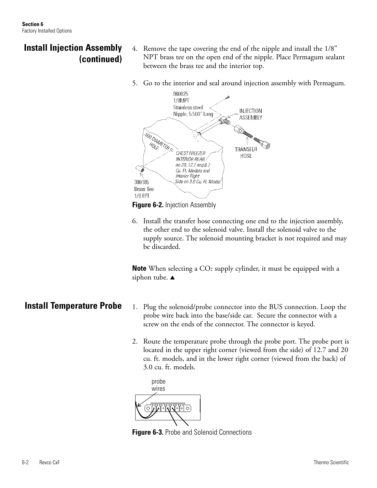# **Install Injection Assembly (continued)**

- 4. Remove the tape covering the end of the nipple and install the 1/8" NPT brass tee on the open end of the nipple. Place Permagum sealant between the brass tee and the interior top.
- 5. Go to the interior and seal around injection assembly with Permagum.



**Figure 6-2.** Injection Assembly

6. Install the transfer hose connecting one end to the injection assembly, the other end to the solenoid valve. Install the solenoid valve to the supply source. The solenoid mounting bracket is not required and may be discarded.

**Note** When selecting a CO<sub>2</sub> supply cylinder, it must be equipped with a siphon tube.  $\blacktriangle$ 

- 1. Plug the solenoid/probe connector into the BUS connection. Loop the probe wire back into the base/side car. Secure the connector with a screw on the ends of the connector. The connector is keyed.
- 2. Route the temperature probe through the probe port. The probe port is located in the upper right corner (viewed from the side) of 12.7 and 20 cu. ft. models, and in the lower right corner (viewed from the back) of 3.0 cu. ft. models.



**Figure 6-3.** Probe and Solenoid Connections

**Install Temperature Probe**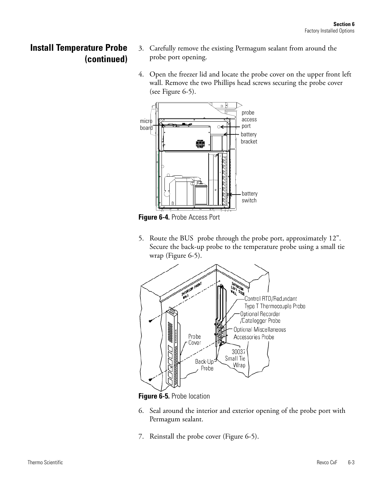## **Install Temperature Probe (continued)**

- 3. Carefully remove the existing Permagum sealant from around the probe port opening.
- 4. Open the freezer lid and locate the probe cover on the upper front left wall. Remove the two Phillips head screws securing the probe cover (see Figure 6-5).





5. Route the BUS probe through the probe port, approximately 12". Secure the back-up probe to the temperature probe using a small tie wrap (Figure 6-5).



**Figure 6-5.** Probe location

- 6. Seal around the interior and exterior opening of the probe port with Permagum sealant.
- 7. Reinstall the probe cover (Figure 6-5).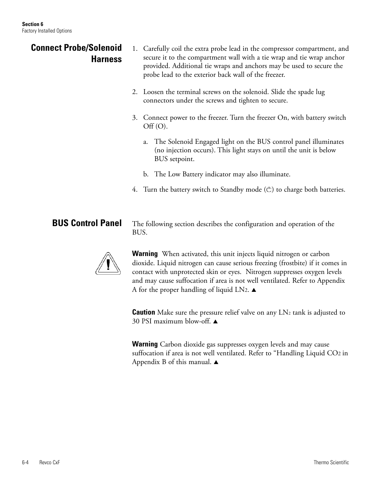## 1. Carefully coil the extra probe lead in the compressor compartment, and secure it to the compartment wall with a tie wrap and tie wrap anchor provided. Additional tie wraps and anchors may be used to secure the probe lead to the exterior back wall of the freezer. 2. Loosen the terminal screws on the solenoid. Slide the spade lug connectors under the screws and tighten to secure. 3. Connect power to the freezer. Turn the freezer On, with battery switch  $\mathrm{Off}\,(\mathrm{O}).$ a. The Solenoid Engaged light on the BUS control panel illuminates (no injection occurs). This light stays on until the unit is below BUS setpoint. b. The Low Battery indicator may also illuminate. 4. Turn the battery switch to Standby mode  $(\circlearrowleft)$  to charge both batteries. The following section describes the configuration and operation of the **Connect Probe/Solenoid Harness BUS Control Panel**

BUS. **Warning** When activated, this unit injects liquid nitrogen or carbon

dioxide. Liquid nitrogen can cause serious freezing (frostbite) if it comes in contact with unprotected skin or eyes. Nitrogen suppresses oxygen levels and may cause suffocation if area is not well ventilated. Refer to Appendix A for the proper handling of liquid LN2.  $\blacktriangle$ 

**Caution** Make sure the pressure relief valve on any LN<sub>2</sub> tank is adjusted to 30 PSI maximum blow-off.  $\triangle$ 

**Warning** Carbon dioxide gas suppresses oxygen levels and may cause suffocation if area is not well ventilated. Refer to "Handling Liquid CO2 in Appendix B of this manual.  $\blacktriangle$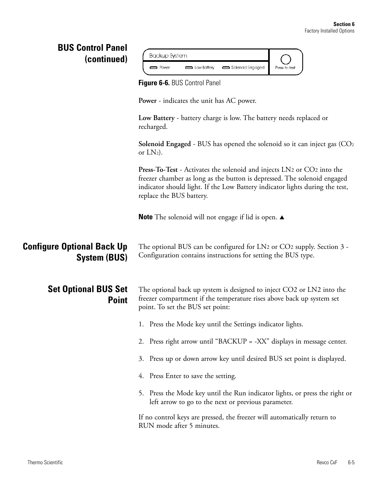| <b>BUS Control Panel</b><br>(continued)                  | Backup System<br>Solenoid Engaged<br>Low Battery<br>Press to test<br>$\implies$ Power                                                                                                                                                                          |
|----------------------------------------------------------|----------------------------------------------------------------------------------------------------------------------------------------------------------------------------------------------------------------------------------------------------------------|
|                                                          | Figure 6-6. BUS Control Panel                                                                                                                                                                                                                                  |
|                                                          | <b>Power</b> - indicates the unit has AC power.                                                                                                                                                                                                                |
|                                                          | Low Battery - battery charge is low. The battery needs replaced or<br>recharged.                                                                                                                                                                               |
|                                                          | <b>Solenoid Engaged</b> - BUS has opened the solenoid so it can inject gas $(CO2)$<br>or $LN2$ ).                                                                                                                                                              |
|                                                          | Press-To-Test - Activates the solenoid and injects LN2 or CO2 into the<br>freezer chamber as long as the button is depressed. The solenoid engaged<br>indicator should light. If the Low Battery indicator lights during the test,<br>replace the BUS battery. |
|                                                          | <b>Note</b> The solenoid will not engage if lid is open. $\triangle$                                                                                                                                                                                           |
| <b>Configure Optional Back Up</b><br><b>System (BUS)</b> | The optional BUS can be configured for LN2 or CO2 supply. Section 3 -<br>Configuration contains instructions for setting the BUS type.                                                                                                                         |
| <b>Set Optional BUS Set</b><br><b>Point</b>              | The optional back up system is designed to inject CO2 or LN2 into the<br>freezer compartment if the temperature rises above back up system set<br>point. To set the BUS set point:                                                                             |
|                                                          | 1. Press the Mode key until the Settings indicator lights.                                                                                                                                                                                                     |
|                                                          | 2. Press right arrow until "BACKUP = -XX" displays in message center.                                                                                                                                                                                          |
|                                                          | Press up or down arrow key until desired BUS set point is displayed.<br>3.                                                                                                                                                                                     |
|                                                          | Press Enter to save the setting.<br>4.                                                                                                                                                                                                                         |
|                                                          | 5. Press the Mode key until the Run indicator lights, or press the right or<br>left arrow to go to the next or previous parameter.                                                                                                                             |
|                                                          | If no control keys are pressed, the freezer will automatically return to<br>RUN mode after 5 minutes.                                                                                                                                                          |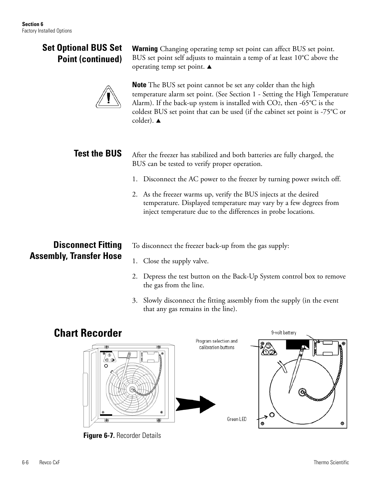## **Set Optional BUS Set Point (continued)**

**Warning** Changing operating temp set point can affect BUS set point. BUS set point self adjusts to maintain a temp of at least 10°C above the operating temp set point.  $\blacktriangle$ 

**Note** The BUS set point cannot be set any colder than the high temperature alarm set point. (See Section 1 - Setting the High Temperature Alarm). If the back-up system is installed with  $CO<sub>2</sub>$ , then -65 $\degree$ C is the coldest BUS set point that can be used (if the cabinet set point is -75°C or colder).  $\triangle$ 

#### After the freezer has stabilized and both batteries are fully charged, the BUS can be tested to verify proper operation. **Test the BUS**

- 1. Disconnect the AC power to the freezer by turning power switch off.
- 2. As the freezer warms up, verify the BUS injects at the desired temperature. Displayed temperature may vary by a few degrees from inject temperature due to the differences in probe locations.

# **Disconnect Fitting Assembly, Transfer Hose**

- To disconnect the freezer back-up from the gas supply:
- 1. Close the supply valve.
- 2. Depress the test button on the Back-Up System control box to remove the gas from the line.
- 3. Slowly disconnect the fitting assembly from the supply (in the event that any gas remains in the line).

9-volt battery

# **Chart Recorder**



**Figure 6-7.** Recorder Details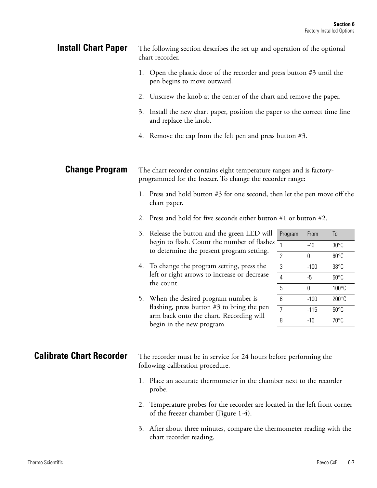| <b>Install Chart Paper</b>                                                                                                                                                                                                                                                                                                                                                                                                                                                                                                                                                                                                                                                                                                                         | The following section describes the set up and operation of the optional<br>chart recorder.                                                                                                      |                                                                                                                                                                                                                                                                                                                          |                         |               |                      |
|----------------------------------------------------------------------------------------------------------------------------------------------------------------------------------------------------------------------------------------------------------------------------------------------------------------------------------------------------------------------------------------------------------------------------------------------------------------------------------------------------------------------------------------------------------------------------------------------------------------------------------------------------------------------------------------------------------------------------------------------------|--------------------------------------------------------------------------------------------------------------------------------------------------------------------------------------------------|--------------------------------------------------------------------------------------------------------------------------------------------------------------------------------------------------------------------------------------------------------------------------------------------------------------------------|-------------------------|---------------|----------------------|
|                                                                                                                                                                                                                                                                                                                                                                                                                                                                                                                                                                                                                                                                                                                                                    | 1.                                                                                                                                                                                               | pen begins to move outward.                                                                                                                                                                                                                                                                                              |                         |               |                      |
|                                                                                                                                                                                                                                                                                                                                                                                                                                                                                                                                                                                                                                                                                                                                                    | 2.                                                                                                                                                                                               |                                                                                                                                                                                                                                                                                                                          |                         |               |                      |
|                                                                                                                                                                                                                                                                                                                                                                                                                                                                                                                                                                                                                                                                                                                                                    | 3.                                                                                                                                                                                               | and replace the knob.                                                                                                                                                                                                                                                                                                    |                         |               |                      |
|                                                                                                                                                                                                                                                                                                                                                                                                                                                                                                                                                                                                                                                                                                                                                    | 4. Remove the cap from the felt pen and press button $#3$ .<br>The chart recorder contains eight temperature ranges and is factory-<br>programmed for the freezer. To change the recorder range: |                                                                                                                                                                                                                                                                                                                          |                         |               |                      |
| <b>Change Program</b>                                                                                                                                                                                                                                                                                                                                                                                                                                                                                                                                                                                                                                                                                                                              |                                                                                                                                                                                                  |                                                                                                                                                                                                                                                                                                                          |                         |               |                      |
|                                                                                                                                                                                                                                                                                                                                                                                                                                                                                                                                                                                                                                                                                                                                                    | 1. Press and hold button #3 for one second, then let the pen move off the<br>chart paper.                                                                                                        |                                                                                                                                                                                                                                                                                                                          |                         |               |                      |
|                                                                                                                                                                                                                                                                                                                                                                                                                                                                                                                                                                                                                                                                                                                                                    | Press and hold for five seconds either button #1 or button #2.<br>2.                                                                                                                             |                                                                                                                                                                                                                                                                                                                          |                         |               |                      |
| Open the plastic door of the recorder and press button $#3$ until the<br>Unscrew the knob at the center of the chart and remove the paper.<br>Install the new chart paper, position the paper to the correct time line<br>3. Release the button and the green LED will<br>begin to flash. Count the number of flashes<br>to determine the present program setting.<br>4. To change the program setting, press the<br>left or right arrows to increase or decrease<br>the count.<br>5. When the desired program number is<br>flashing, press button $#3$ to bring the pen<br>arm back onto the chart. Recording will<br>begin in the new program.<br>following calibration procedure.<br>1.<br>probe.<br>2.<br>of the freezer chamber (Figure 1-4). |                                                                                                                                                                                                  |                                                                                                                                                                                                                                                                                                                          | Program<br>$\mathbf{1}$ | From<br>$-40$ | To<br>$30^{\circ}$ C |
|                                                                                                                                                                                                                                                                                                                                                                                                                                                                                                                                                                                                                                                                                                                                                    |                                                                                                                                                                                                  |                                                                                                                                                                                                                                                                                                                          | $\mathbf{2}$            | 0             | $60^{\circ}$ C       |
|                                                                                                                                                                                                                                                                                                                                                                                                                                                                                                                                                                                                                                                                                                                                                    | 3                                                                                                                                                                                                | $-100$                                                                                                                                                                                                                                                                                                                   | $38^{\circ}$ C          |               |                      |
|                                                                                                                                                                                                                                                                                                                                                                                                                                                                                                                                                                                                                                                                                                                                                    | $\overline{4}$                                                                                                                                                                                   | $-5$                                                                                                                                                                                                                                                                                                                     | $50^{\circ}$ C          |               |                      |
|                                                                                                                                                                                                                                                                                                                                                                                                                                                                                                                                                                                                                                                                                                                                                    |                                                                                                                                                                                                  |                                                                                                                                                                                                                                                                                                                          | 5                       | $\pmb{0}$     | 100°C                |
|                                                                                                                                                                                                                                                                                                                                                                                                                                                                                                                                                                                                                                                                                                                                                    |                                                                                                                                                                                                  |                                                                                                                                                                                                                                                                                                                          | $6\,$                   | $-100$        | 200°C                |
|                                                                                                                                                                                                                                                                                                                                                                                                                                                                                                                                                                                                                                                                                                                                                    |                                                                                                                                                                                                  |                                                                                                                                                                                                                                                                                                                          | $\overline{7}$          | $-115$        | $50^{\circ}$ C       |
|                                                                                                                                                                                                                                                                                                                                                                                                                                                                                                                                                                                                                                                                                                                                                    |                                                                                                                                                                                                  |                                                                                                                                                                                                                                                                                                                          | 8                       | $-10$         | 70°C                 |
| <b>Calibrate Chart Recorder</b>                                                                                                                                                                                                                                                                                                                                                                                                                                                                                                                                                                                                                                                                                                                    |                                                                                                                                                                                                  | The recorder must be in service for 24 hours before performing the<br>Place an accurate thermometer in the chamber next to the recorder<br>Temperature probes for the recorder are located in the left front corner<br>3. After about three minutes, compare the thermometer reading with the<br>chart recorder reading. |                         |               |                      |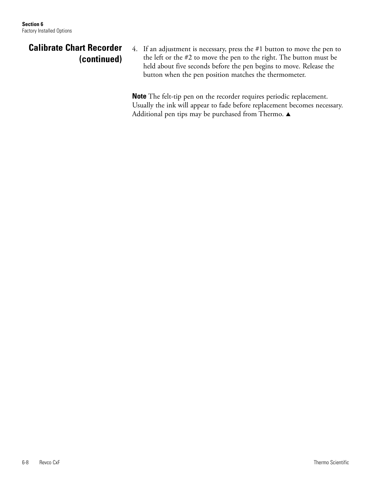# **Calibrate Chart Recorder (continued)**

4. If an adjustment is necessary, press the #1 button to move the pen to the left or the #2 to move the pen to the right. The button must be held about five seconds before the pen begins to move. Release the button when the pen position matches the thermometer.

**Note** The felt-tip pen on the recorder requires periodic replacement. Usually the ink will appear to fade before replacement becomes necessary. Additional pen tips may be purchased from Thermo.  $\blacktriangle$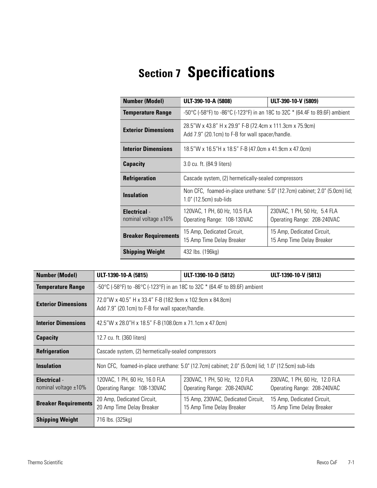# **Section 7 Specifications**

| <b>Number (Model)</b>                             | ULT-390-10-A (5808)                                                                                                | ULT-390-10-V (5809)                                                                                          |  |  |
|---------------------------------------------------|--------------------------------------------------------------------------------------------------------------------|--------------------------------------------------------------------------------------------------------------|--|--|
| <b>Temperature Range</b>                          | -50 °C (-58 °F) to -86 °C (-123 °F) in an 18C to 32C $*$ (64.4F to 89.6F) ambient                                  |                                                                                                              |  |  |
| <b>Exterior Dimensions</b>                        |                                                                                                                    | 28.5"W x 43.8" H x 29.9" F-B (72.4cm x 111.3cm x 75.9cm)<br>Add 7.9" (20.1cm) to F-B for wall spacer/handle. |  |  |
| <b>Interior Dimensions</b>                        | 18.5"W x 16.5"H x 18.5" F-B (47.0cm x 41.9cm x 47.0cm)                                                             |                                                                                                              |  |  |
| <b>Capacity</b>                                   | 3.0 cu. ft. (84.9 liters)                                                                                          |                                                                                                              |  |  |
| <b>Refrigeration</b>                              | Cascade system, (2) hermetically-sealed compressors                                                                |                                                                                                              |  |  |
| <b>Insulation</b>                                 | $1.0$ " (12.5cm) sub-lids                                                                                          | Non CFC, foamed-in-place urethane: 5.0" (12.7cm) cabinet; 2.0" (5.0cm) lid;                                  |  |  |
| <b>Electrical</b> -<br>nominal voltage $\pm 10\%$ | 120VAC, 1 PH, 60 Hz, 10.5 FLA<br>Operating Range: 108-130VAC                                                       | 230VAC, 1 PH, 50 Hz, 5.4 FLA<br>Operating Range: 208-240VAC                                                  |  |  |
| <b>Breaker Requirements</b>                       | 15 Amp, Dedicated Circuit,<br>15 Amp, Dedicated Circuit,<br>15 Amp Time Delay Breaker<br>15 Amp Time Delay Breaker |                                                                                                              |  |  |
| <b>Shipping Weight</b>                            | 432 lbs. (196kg)                                                                                                   |                                                                                                              |  |  |

| <b>Number (Model)</b>                          | ULT-1390-10-A (5815)                                                                                          | ULT-1390-10-D (5812)                                                                               | ULT-1390-10-V (5813)                                         |  |
|------------------------------------------------|---------------------------------------------------------------------------------------------------------------|----------------------------------------------------------------------------------------------------|--------------------------------------------------------------|--|
| <b>Temperature Range</b>                       | -50 °C (-58 °F) to -86 °C (-123 °F) in an 18C to 32C $*$ (64.4F to 89.6F) ambient                             |                                                                                                    |                                                              |  |
| <b>Exterior Dimensions</b>                     | 72.0"W x 40.5" H x 33.4" F-B (182.9cm x 102.9cm x 84.8cm)<br>Add 7.9" (20.1cm) to F-B for wall spacer/handle. |                                                                                                    |                                                              |  |
| <b>Interior Dimensions</b>                     | 42.5"W x 28.0"H x 18.5" F-B (108.0cm x 71.1cm x 47.0cm)                                                       |                                                                                                    |                                                              |  |
| <b>Capacity</b>                                | 12.7 cu. ft. (360 liters)                                                                                     |                                                                                                    |                                                              |  |
| <b>Refrigeration</b>                           |                                                                                                               | Cascade system, (2) hermetically-sealed compressors                                                |                                                              |  |
| <b>Insulation</b>                              |                                                                                                               | Non CFC, foamed-in-place urethane: 5.0" (12.7cm) cabinet; 2.0" (5.0cm) lid; 1.0" (12.5cm) sub-lids |                                                              |  |
| <b>Electrical</b> -<br>nominal voltage $±10\%$ | 120VAC, 1 PH, 60 Hz, 16.0 FLA<br>Operating Range: 108-130VAC                                                  | 230VAC, 1 PH, 50 Hz, 12.0 FLA<br>Operating Range: 208-240VAC                                       | 230VAC, 1 PH, 60 Hz, 12.0 FLA<br>Operating Range: 208-240VAC |  |
| <b>Breaker Requirements</b>                    | 20 Amp, Dedicated Circuit,<br>20 Amp Time Delay Breaker                                                       | 15 Amp, 230VAC, Dedicated Circuit,<br>15 Amp Time Delay Breaker                                    | 15 Amp, Dedicated Circuit,<br>15 Amp Time Delay Breaker      |  |
| <b>Shipping Weight</b>                         | 716 lbs. (325kg)                                                                                              |                                                                                                    |                                                              |  |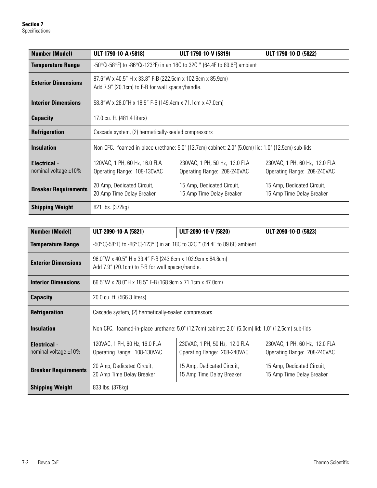| <b>Number (Model)</b>                          | ULT-1790-10-A (5818)                                                                                          | ULT-1790-10-V (5819)                                                                               | ULT-1790-10-D (5822)                                         |  |  |
|------------------------------------------------|---------------------------------------------------------------------------------------------------------------|----------------------------------------------------------------------------------------------------|--------------------------------------------------------------|--|--|
| <b>Temperature Range</b>                       |                                                                                                               | -50°C(-58°F) to -86°C(-123°F) in an 18C to 32C $*$ (64.4F to 89.6F) ambient                        |                                                              |  |  |
| <b>Exterior Dimensions</b>                     | 87.6"W x 40.5" H x 33.8" F-B (222.5cm x 102.9cm x 85.9cm)<br>Add 7.9" (20.1cm) to F-B for wall spacer/handle. |                                                                                                    |                                                              |  |  |
| <b>Interior Dimensions</b>                     |                                                                                                               | 58.8"W x 28.0"H x 18.5" F-B (149.4cm x 71.1cm x 47.0cm)                                            |                                                              |  |  |
| <b>Capacity</b>                                | 17.0 cu. ft. (481.4 liters)                                                                                   |                                                                                                    |                                                              |  |  |
| <b>Refrigeration</b>                           | Cascade system, (2) hermetically-sealed compressors                                                           |                                                                                                    |                                                              |  |  |
| <b>Insulation</b>                              |                                                                                                               | Non CFC, foamed-in-place urethane: 5.0" (12.7cm) cabinet; 2.0" (5.0cm) lid; 1.0" (12.5cm) sub-lids |                                                              |  |  |
| <b>Electrical</b> -<br>nominal voltage $±10\%$ | 120VAC, 1 PH, 60 Hz, 16.0 FLA<br>Operating Range: 108-130VAC                                                  | 230VAC, 1 PH, 50 Hz, 12.0 FLA<br>Operating Range: 208-240VAC                                       | 230VAC, 1 PH, 60 Hz, 12.0 FLA<br>Operating Range: 208-240VAC |  |  |
| <b>Breaker Requirements</b>                    | 20 Amp, Dedicated Circuit,<br>20 Amp Time Delay Breaker                                                       | 15 Amp, Dedicated Circuit,<br>15 Amp Time Delay Breaker                                            | 15 Amp, Dedicated Circuit,<br>15 Amp Time Delay Breaker      |  |  |
| <b>Shipping Weight</b>                         | 821 lbs. (372kg)                                                                                              |                                                                                                    |                                                              |  |  |

| <b>Number (Model)</b>                       | ULT-2090-10-A (5821)                                                                                          | ULT-2090-10-V (5820)                                                                               | ULT-2090-10-D (5823)                                         |  |
|---------------------------------------------|---------------------------------------------------------------------------------------------------------------|----------------------------------------------------------------------------------------------------|--------------------------------------------------------------|--|
| <b>Temperature Range</b>                    | -50°C(-58°F) to -86°C(-123°F) in an 18C to 32C $*$ (64.4F to 89.6F) ambient                                   |                                                                                                    |                                                              |  |
| <b>Exterior Dimensions</b>                  | 96.0"W x 40.5" H x 33.4" F-B (243.8cm x 102.9cm x 84.8cm)<br>Add 7.9" (20.1cm) to F-B for wall spacer/handle. |                                                                                                    |                                                              |  |
| <b>Interior Dimensions</b>                  | 66.5"W x 28.0"H x 18.5" F-B (168.9cm x 71.1cm x 47.0cm)                                                       |                                                                                                    |                                                              |  |
| <b>Capacity</b>                             | 20.0 cu. ft. (566.3 liters)                                                                                   |                                                                                                    |                                                              |  |
| <b>Refrigeration</b>                        |                                                                                                               | Cascade system, (2) hermetically-sealed compressors                                                |                                                              |  |
| <b>Insulation</b>                           |                                                                                                               | Non CFC, foamed-in-place urethane: 5.0" (12.7cm) cabinet; 2.0" (5.0cm) lid; 1.0" (12.5cm) sub-lids |                                                              |  |
| <b>Electrical</b> -<br>nominal voltage ±10% | 120VAC, 1 PH, 60 Hz, 16.0 FLA<br>Operating Range: 108-130VAC                                                  | 230VAC, 1 PH, 50 Hz, 12.0 FLA<br>Operating Range: 208-240VAC                                       | 230VAC, 1 PH, 60 Hz, 12.0 FLA<br>Operating Range: 208-240VAC |  |
| <b>Breaker Requirements</b>                 | 20 Amp, Dedicated Circuit,<br>20 Amp Time Delay Breaker                                                       | 15 Amp, Dedicated Circuit,<br>15 Amp Time Delay Breaker                                            | 15 Amp, Dedicated Circuit,<br>15 Amp Time Delay Breaker      |  |
| <b>Shipping Weight</b>                      | 833 lbs. (378kg)                                                                                              |                                                                                                    |                                                              |  |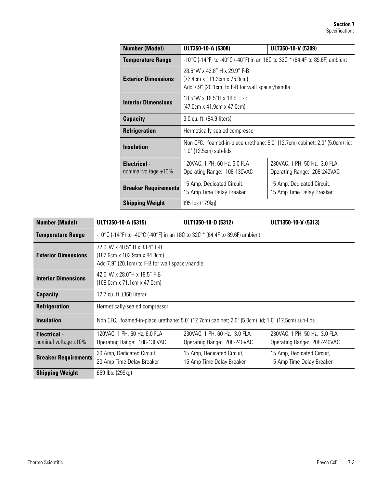| <b>Number (Model)</b>                             | ULT350-10-A (5308)                                                                                              | ULT350-10-V (5309)                                                          |  |  |
|---------------------------------------------------|-----------------------------------------------------------------------------------------------------------------|-----------------------------------------------------------------------------|--|--|
| <b>Temperature Range</b>                          | -10 °C (-14 °F) to -40 °C (-40 °F) in an 18C to 32C $*$ (64.4F to 89.6F) ambient                                |                                                                             |  |  |
| <b>Exterior Dimensions</b>                        | 28.5"W x 43.8" H x 29.9" F-B<br>(72.4cm x 111.3cm x 75.9cm)<br>Add 7.9" (20.1cm) to F-B for wall spacer/handle. |                                                                             |  |  |
| <b>Interior Dimensions</b>                        | 18.5"W x 16.5"H x 18.5" F-B<br>(47.0cm x 41.9cm x 47.0cm)                                                       |                                                                             |  |  |
| <b>Capacity</b>                                   | 3.0 cu. ft. (84.9 liters)                                                                                       |                                                                             |  |  |
| <b>Refrigeration</b>                              | Hermetically-sealed compressor                                                                                  |                                                                             |  |  |
| <b>Insulation</b>                                 | $1.0$ " (12.5cm) sub-lids                                                                                       | Non CFC, foamed-in-place urethane: 5.0" (12.7cm) cabinet; 2.0" (5.0cm) lid; |  |  |
| <b>Electrical</b> -<br>nominal voltage $\pm 10\%$ | 120VAC, 1 PH, 60 Hz, 6.0 FLA<br>Operating Range: 108-130VAC                                                     | 230VAC, 1 PH, 50 Hz, 3.0 FLA<br>Operating Range: 208-240VAC                 |  |  |
| <b>Breaker Requirements</b>                       | 15 Amp, Dedicated Circuit,<br>15 Amp Time Delay Breaker                                                         | 15 Amp, Dedicated Circuit,<br>15 Amp Time Delay Breaker                     |  |  |
| <b>Shipping Weight</b>                            | 395 lbs (179kg)                                                                                                 |                                                                             |  |  |

| <b>Number (Model)</b>                          | ULT1350-10-A (5315)                                                                                                          | ULT1350-10-D (5312)                                                                                | ULT1350-10-V (5313)                                         |
|------------------------------------------------|------------------------------------------------------------------------------------------------------------------------------|----------------------------------------------------------------------------------------------------|-------------------------------------------------------------|
| <b>Temperature Range</b>                       | -10°C (-14°F) to -40°C (-40°F) in an 18C to 32C $*$ (64.4F to 89.6F) ambient                                                 |                                                                                                    |                                                             |
| <b>Exterior Dimensions</b>                     | 72.0"W x 40.5" H x 33.4" F-B<br>$(182.9cm \times 102.9cm \times 84.8cm)$<br>Add 7.9" (20.1cm) to F-B for wall spacer/handle. |                                                                                                    |                                                             |
| <b>Interior Dimensions</b>                     | 42.5"W x 28.0"H x 18.5" F-B<br>(108.0cm x 71.1cm x 47.0cm)                                                                   |                                                                                                    |                                                             |
| <b>Capacity</b>                                | 12.7 cu. ft. (360 liters)                                                                                                    |                                                                                                    |                                                             |
| <b>Refrigeration</b>                           | Hermetically-sealed compressor                                                                                               |                                                                                                    |                                                             |
| <b>Insulation</b>                              |                                                                                                                              | Non CFC, foamed-in-place urethane: 5.0" (12.7cm) cabinet; 2.0" (5.0cm) lid; 1.0" (12.5cm) sub-lids |                                                             |
| <b>Electrical</b> -<br>nominal voltage $±10\%$ | 120VAC, 1 PH, 60 Hz, 6.0 FLA<br>Operating Range: 108-130VAC                                                                  | 230VAC, 1 PH, 60 Hz, 3.0 FLA<br>Operating Range: 208-240VAC                                        | 230VAC, 1 PH, 50 Hz, 3.0 FLA<br>Operating Range: 208-240VAC |
| <b>Breaker Requirements</b>                    | 20 Amp, Dedicated Circuit,<br>20 Amp Time Delay Breaker                                                                      | 15 Amp, Dedicated Circuit,<br>15 Amp Time Delay Breaker                                            | 15 Amp, Dedicated Circuit,<br>15 Amp Time Delay Breaker     |
| <b>Shipping Weight</b>                         | 659 lbs. (299kg)                                                                                                             |                                                                                                    |                                                             |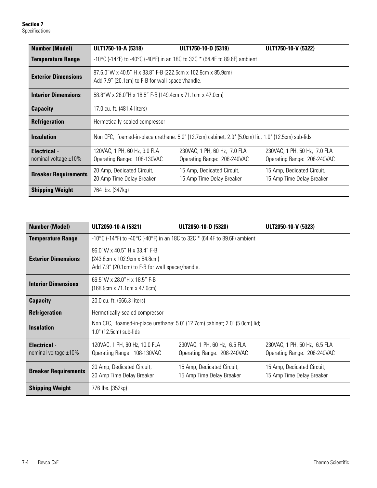**Section 7** Specifications

| <b>Number (Model)</b>                          | ULT1750-10-A (5318)                                                          | ULT1750-10-D (5319)                                                                                             | ULT1750-10-V (5322)                                         |  |
|------------------------------------------------|------------------------------------------------------------------------------|-----------------------------------------------------------------------------------------------------------------|-------------------------------------------------------------|--|
| <b>Temperature Range</b>                       | -10°C (-14°F) to -40°C (-40°F) in an 18C to 32C $*$ (64.4F to 89.6F) ambient |                                                                                                                 |                                                             |  |
| <b>Exterior Dimensions</b>                     |                                                                              | 87.6.0"W x 40.5" H x 33.8" F-B (222.5cm x 102.9cm x 85.9cm)<br>Add 7.9" (20.1cm) to F-B for wall spacer/handle. |                                                             |  |
| <b>Interior Dimensions</b>                     | 58.8"W x 28.0"H x 18.5" F-B (149.4cm x 71.1cm x 47.0cm)                      |                                                                                                                 |                                                             |  |
| <b>Capacity</b>                                | 17.0 cu. ft. (481.4 liters)                                                  |                                                                                                                 |                                                             |  |
| <b>Refrigeration</b>                           | Hermetically-sealed compressor                                               |                                                                                                                 |                                                             |  |
| <b>Insulation</b>                              |                                                                              | Non CFC, foamed-in-place urethane: 5.0" (12.7cm) cabinet; 2.0" (5.0cm) lid; 1.0" (12.5cm) sub-lids              |                                                             |  |
| <b>Electrical</b> -<br>nominal voltage $±10\%$ | 120VAC, 1 PH, 60 Hz, 9.0 FLA<br>Operating Range: 108-130VAC                  | 230VAC, 1 PH, 60 Hz, 7.0 FLA<br>Operating Range: 208-240VAC                                                     | 230VAC, 1 PH, 50 Hz, 7.0 FLA<br>Operating Range: 208-240VAC |  |
| <b>Breaker Requirements</b>                    | 20 Amp, Dedicated Circuit,<br>20 Amp Time Delay Breaker                      | 15 Amp, Dedicated Circuit,<br>15 Amp Time Delay Breaker                                                         | 15 Amp, Dedicated Circuit,<br>15 Amp Time Delay Breaker     |  |
| <b>Shipping Weight</b>                         | 764 lbs. (347kg)                                                             |                                                                                                                 |                                                             |  |

| <b>Number (Model)</b>                          | ULT2050-10-A (5321)                                                                                              | ULT2050-10-D (5320)                                                         | ULT2050-10-V (5323)                                         |
|------------------------------------------------|------------------------------------------------------------------------------------------------------------------|-----------------------------------------------------------------------------|-------------------------------------------------------------|
| <b>Temperature Range</b>                       | -10°C (-14°F) to -40°C (-40°F) in an 18C to 32C $*$ (64.4F to 89.6F) ambient                                     |                                                                             |                                                             |
| <b>Exterior Dimensions</b>                     | 96.0"W x 40.5" H x 33.4" F-B<br>(243.8cm x 102.9cm x 84.8cm)<br>Add 7.9" (20.1cm) to F-B for wall spacer/handle. |                                                                             |                                                             |
| <b>Interior Dimensions</b>                     | 66.5"W x 28.0"H x 18.5" F-B<br>(168.9cm x 71.1cm x 47.0cm)                                                       |                                                                             |                                                             |
| <b>Capacity</b>                                | 20.0 cu. ft. (566.3 liters)                                                                                      |                                                                             |                                                             |
| <b>Refrigeration</b>                           | Hermetically-sealed compressor                                                                                   |                                                                             |                                                             |
| <b>Insulation</b>                              | 1.0" (12.5cm) sub-lids                                                                                           | Non CFC, foamed-in-place urethane: 5.0" (12.7cm) cabinet; 2.0" (5.0cm) lid; |                                                             |
| <b>Electrical</b> -<br>nominal voltage $±10\%$ | 120VAC, 1 PH, 60 Hz, 10.0 FLA<br>Operating Range: 108-130VAC                                                     | 230VAC, 1 PH, 60 Hz, 6.5 FLA<br>Operating Range: 208-240VAC                 | 230VAC, 1 PH, 50 Hz, 6.5 FLA<br>Operating Range: 208-240VAC |
| <b>Breaker Requirements</b>                    | 20 Amp, Dedicated Circuit,<br>20 Amp Time Delay Breaker                                                          | 15 Amp, Dedicated Circuit,<br>15 Amp Time Delay Breaker                     | 15 Amp, Dedicated Circuit,<br>15 Amp Time Delay Breaker     |
| <b>Shipping Weight</b>                         | 776 lbs. (352kg)                                                                                                 |                                                                             |                                                             |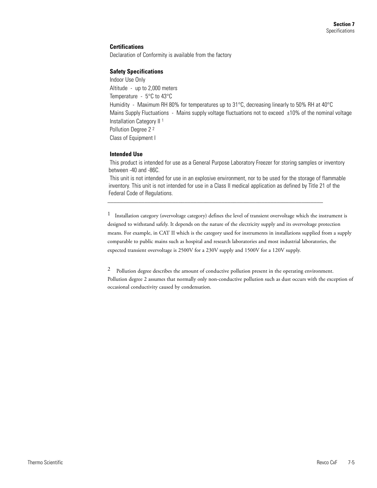#### **Certifications**

Declaration of Conformity is available from the factory

#### **Safety Specifications**

Indoor Use Only Altitude - up to 2,000 meters Temperature - 5°C to 43°C Humidity - Maximum RH 80% for temperatures up to 31°C, decreasing linearly to 50% RH at 40°C Mains Supply Fluctuations - Mains supply voltage fluctuations not to exceed  $\pm 10\%$  of the nominal voltage Installation Category II 1 Pollution Degree 2 2 Class of Equipment I

#### **Intended Use**

This product is intended for use as a General Purpose Laboratory Freezer for storing samples or inventory between -40 and -86C.

This unit is not intended for use in an explosive environment, nor to be used for the storage of flammable inventory. This unit is not intended for use in a Class II medical application as defined by Title 21 of the Federal Code of Regulations.

\_\_\_\_\_\_\_\_\_\_\_\_\_\_\_\_\_\_\_\_\_\_\_\_\_\_\_\_\_\_\_\_\_\_\_\_\_\_\_\_\_\_\_\_\_\_\_\_\_\_\_\_\_\_\_\_\_\_\_\_\_\_\_\_\_\_\_\_\_\_

 $1$  Installation category (overvoltage category) defines the level of transient overvoltage which the instrument is designed to withstand safely. It depends on the nature of the electricity supply and its overvoltage protection means. For example, in CAT II which is the category used for instruments in installations supplied from a supply comparable to public mains such as hospital and research laboratories and most industrial laboratories, the expected transient overvoltage is 2500V for a 230V supply and 1500V for a 120V supply.

<sup>2</sup> Pollution degree describes the amount of conductive pollution present in the operating environment. Pollution degree 2 assumes that normally only non-conductive pollution such as dust occurs with the exception of occasional conductivity caused by condensation.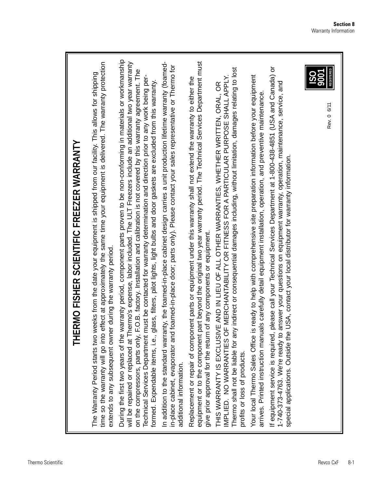| <b>REGISTERED</b><br>9001<br>Rev. 0 6/11 |
|------------------------------------------|
|------------------------------------------|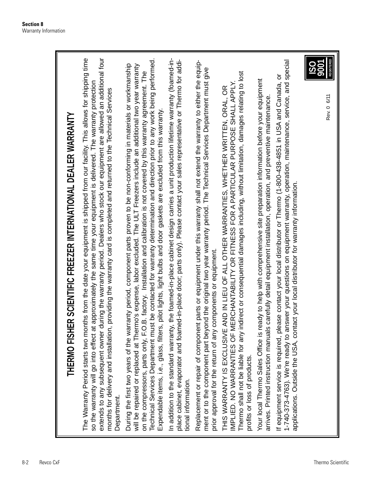| THERMO FISHER SCIENTIFIC FREEZER INTERNATIONAL DEALER WARRANTY                                                                                                                                                                                                                                                                                                                                                                                                                                                                                                                                                                                |
|-----------------------------------------------------------------------------------------------------------------------------------------------------------------------------------------------------------------------------------------------------------------------------------------------------------------------------------------------------------------------------------------------------------------------------------------------------------------------------------------------------------------------------------------------------------------------------------------------------------------------------------------------|
| The Warranty Period starts two months from the date your equipment is shipped from our facility. This allows for shipping time<br>extends to any subsequent owner during the warranty period. Dealers who stock our equipment are allowed an additional four<br>so the warranty will go into effect at approximately the same time your equipment is delivered. The warranty protection<br>months for delivery and installation, providing the warranty card is completed and returned to the Technical Services<br>Department.                                                                                                               |
| Technical Services Department must be contacted for warranty determination and direction prior to any work being performed.<br>During the first two years of the warranty period, component parts proven to be non-conforming in materials or workmanship<br>will be repaired or replaced at Thermo's expense, labor excluded. The ULT Freezers include an additional two year warranty<br>on the compressors, parts only, F.O.B. factory. Installation and calibration is not covered by this warranty agreement. The<br>Expendable items, i.e., glass, filters, pilot lights, light bulbs and door gaskets are excluded from this warranty. |
| In addition to the standard warranty, the foamed-in-place cabinet design carries a unit production lifetime warranty (foamed-in-<br>place cabinet, evaporator and foamed-in-place door; parts only). Please contact your sales representative or Thermo for addi-<br>tional information.                                                                                                                                                                                                                                                                                                                                                      |
| Replacement or repair of component parts or equipment under this warranty shall not extend the warranty to either the equip-<br>ment or to the component part beyond the original two year warranty period. The Technical Services Department must give<br>prior approval for the return of any components or equipment.                                                                                                                                                                                                                                                                                                                      |
| Thermo shall not be liable for any indirect or consequential damages including, without limitation, damages relating to lost<br>IMPLIED. NO WARRANTIES OF MERCHANTABILITY OR FITNESS FOR A PARTICULAR PURPOSE SHALL APPLY<br>AND IN LIEU OF ALL OTHER WARRANTIES, WHETHER WRITTEN, ORAL, OR<br>THIS WARRANTY IS EXCLUSIVE<br>profits or loss of products.                                                                                                                                                                                                                                                                                     |
| Your local Thermo Sales Office is ready to help with comprehensive site preparation information before your equipment<br>arrives. Printed instruction manuals carefully detail equipment installation, operation, and preventive maintenance                                                                                                                                                                                                                                                                                                                                                                                                  |
| 1-740-373-4763). We're ready to answer your questions on equipment warranty, operation, maintenance, service, and special<br>If equipment service is required, please contact your local distributor or Thermo (1-800-438-4851 in USA and Canada, or<br>applications. Outside the USA, contact your local distributor for warranty information.                                                                                                                                                                                                                                                                                               |
| REGISTERED<br><b>POOT</b><br>Rev. 0 6/11                                                                                                                                                                                                                                                                                                                                                                                                                                                                                                                                                                                                      |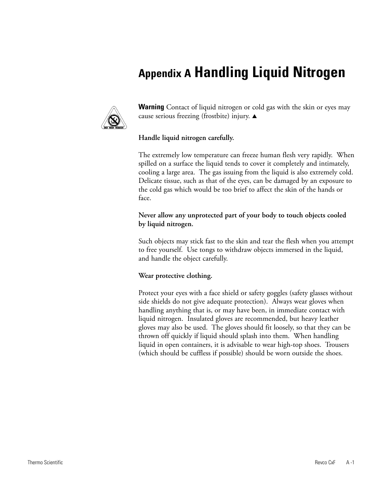# **Appendix A Handling Liquid Nitrogen**



**Warning** Contact of liquid nitrogen or cold gas with the skin or eyes may cause serious freezing (frostbite) injury.  $\blacktriangle$ 

## **Handle liquid nitrogen carefully.**

The extremely low temperature can freeze human flesh very rapidly. When spilled on a surface the liquid tends to cover it completely and intimately, cooling a large area. The gas issuing from the liquid is also extremely cold. Delicate tissue, such as that of the eyes, can be damaged by an exposure to the cold gas which would be too brief to affect the skin of the hands or face.

**Never allow any unprotected part of your body to touch objects cooled by liquid nitrogen.** 

Such objects may stick fast to the skin and tear the flesh when you attempt to free yourself. Use tongs to withdraw objects immersed in the liquid, and handle the object carefully.

## **Wear protective clothing.**

Protect your eyes with a face shield or safety goggles (safety glasses without side shields do not give adequate protection). Always wear gloves when handling anything that is, or may have been, in immediate contact with liquid nitrogen. Insulated gloves are recommended, but heavy leather gloves may also be used. The gloves should fit loosely, so that they can be thrown off quickly if liquid should splash into them. When handling liquid in open containers, it is advisable to wear high-top shoes. Trousers (which should be cuffless if possible) should be worn outside the shoes.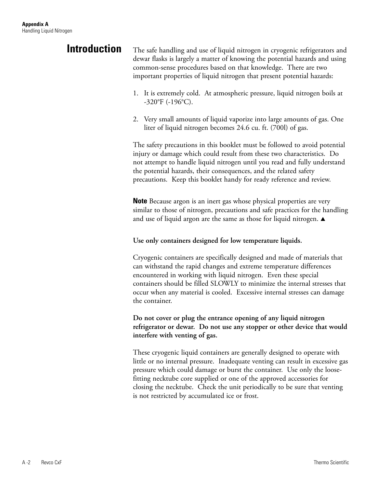## **Introduction**

The safe handling and use of liquid nitrogen in cryogenic refrigerators and dewar flasks is largely a matter of knowing the potential hazards and using common-sense procedures based on that knowledge. There are two important properties of liquid nitrogen that present potential hazards:

- 1. It is extremely cold. At atmospheric pressure, liquid nitrogen boils at -320°F (-196°C).
- 2. Very small amounts of liquid vaporize into large amounts of gas. One liter of liquid nitrogen becomes 24.6 cu. ft. (700l) of gas.

The safety precautions in this booklet must be followed to avoid potential injury or damage which could result from these two characteristics. Do not attempt to handle liquid nitrogen until you read and fully understand the potential hazards, their consequences, and the related safety precautions. Keep this booklet handy for ready reference and review.

**Note** Because argon is an inert gas whose physical properties are very similar to those of nitrogen, precautions and safe practices for the handling and use of liquid argon are the same as those for liquid nitrogen.  $\blacktriangle$ 

## **Use only containers designed for low temperature liquids.**

Cryogenic containers are specifically designed and made of materials that can withstand the rapid changes and extreme temperature differences encountered in working with liquid nitrogen. Even these special containers should be filled SLOWLY to minimize the internal stresses that occur when any material is cooled. Excessive internal stresses can damage the container.

## **Do not cover or plug the entrance opening of any liquid nitrogen refrigerator or dewar. Do not use any stopper or other device that would interfere with venting of gas.**

These cryogenic liquid containers are generally designed to operate with little or no internal pressure. Inadequate venting can result in excessive gas pressure which could damage or burst the container. Use only the loosefitting necktube core supplied or one of the approved accessories for closing the necktube. Check the unit periodically to be sure that venting is not restricted by accumulated ice or frost.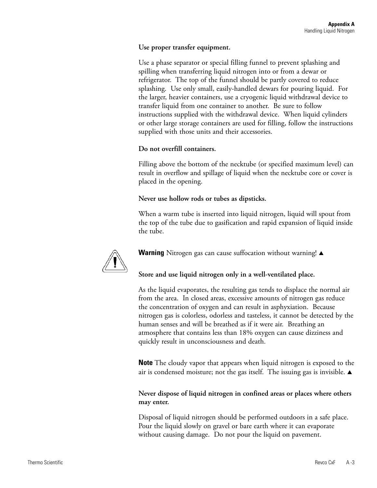## **Use proper transfer equipment.**

Use a phase separator or special filling funnel to prevent splashing and spilling when transferring liquid nitrogen into or from a dewar or refrigerator. The top of the funnel should be partly covered to reduce splashing. Use only small, easily-handled dewars for pouring liquid. For the larger, heavier containers, use a cryogenic liquid withdrawal device to transfer liquid from one container to another. Be sure to follow instructions supplied with the withdrawal device. When liquid cylinders or other large storage containers are used for filling, follow the instructions supplied with those units and their accessories.

## **Do not overfill containers.**

Filling above the bottom of the necktube (or specified maximum level) can result in overflow and spillage of liquid when the necktube core or cover is placed in the opening.

## **Never use hollow rods or tubes as dipsticks.**

When a warm tube is inserted into liquid nitrogen, liquid will spout from the top of the tube due to gasification and rapid expansion of liquid inside the tube.



Warning Nitrogen gas can cause suffocation without warning!  $\blacktriangle$ 

## **Store and use liquid nitrogen only in a well-ventilated place.**

As the liquid evaporates, the resulting gas tends to displace the normal air from the area. In closed areas, excessive amounts of nitrogen gas reduce the concentration of oxygen and can result in asphyxiation. Because nitrogen gas is colorless, odorless and tasteless, it cannot be detected by the human senses and will be breathed as if it were air. Breathing an atmosphere that contains less than 18% oxygen can cause dizziness and quickly result in unconsciousness and death.

**Note** The cloudy vapor that appears when liquid nitrogen is exposed to the air is condensed moisture; not the gas itself. The issuing gas is invisible.  $\blacktriangle$ 

## **Never dispose of liquid nitrogen in confined areas or places where others may enter.**

Disposal of liquid nitrogen should be performed outdoors in a safe place. Pour the liquid slowly on gravel or bare earth where it can evaporate without causing damage. Do not pour the liquid on pavement.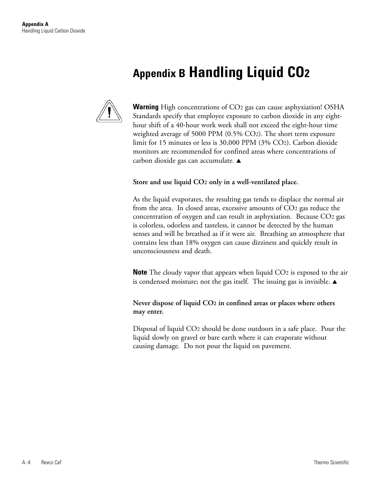# **Appendix B Handling Liquid CO2**



**Warning** High concentrations of CO2 gas can cause asphyxiation! OSHA Standards specify that employee exposure to carbon dioxide in any eighthour shift of a 40-hour work week shall not exceed the eight-hour time weighted average of 5000 PPM (0.5% CO2). The short term exposure limit for 15 minutes or less is 30,000 PPM (3% CO2). Carbon dioxide monitors are recommended for confined areas where concentrations of carbon dioxide gas can accumulate.  $\triangle$ 

### **Store and use liquid CO2 only in a well-ventilated place.**

As the liquid evaporates, the resulting gas tends to displace the normal air from the area. In closed areas, excessive amounts of CO2 gas reduce the concentration of oxygen and can result in asphyxiation. Because CO2 gas is colorless, odorless and tasteless, it cannot be detected by the human senses and will be breathed as if it were air. Breathing an atmosphere that contains less than 18% oxygen can cause dizziness and quickly result in unconsciousness and death.

**Note** The cloudy vapor that appears when liquid CO<sub>2</sub> is exposed to the air is condensed moisture; not the gas itself. The issuing gas is invisible.  $\blacktriangle$ 

## **Never dispose of liquid CO2 in confined areas or places where others may enter.**

Disposal of liquid CO2 should be done outdoors in a safe place. Pour the liquid slowly on gravel or bare earth where it can evaporate without causing damage. Do not pour the liquid on pavement.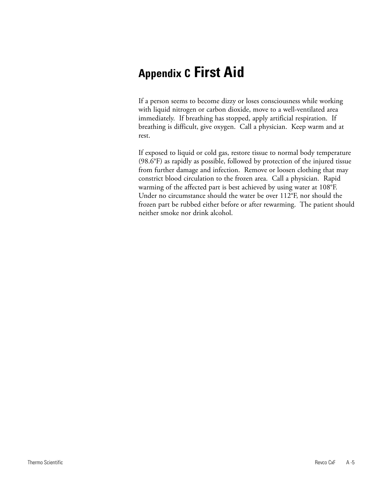# **Appendix C First Aid**

If a person seems to become dizzy or loses consciousness while working with liquid nitrogen or carbon dioxide, move to a well-ventilated area immediately. If breathing has stopped, apply artificial respiration. If breathing is difficult, give oxygen. Call a physician. Keep warm and at rest.

If exposed to liquid or cold gas, restore tissue to normal body temperature (98.6°F) as rapidly as possible, followed by protection of the injured tissue from further damage and infection. Remove or loosen clothing that may constrict blood circulation to the frozen area. Call a physician. Rapid warming of the affected part is best achieved by using water at 108°F. Under no circumstance should the water be over 112°F, nor should the frozen part be rubbed either before or after rewarming. The patient should neither smoke nor drink alcohol.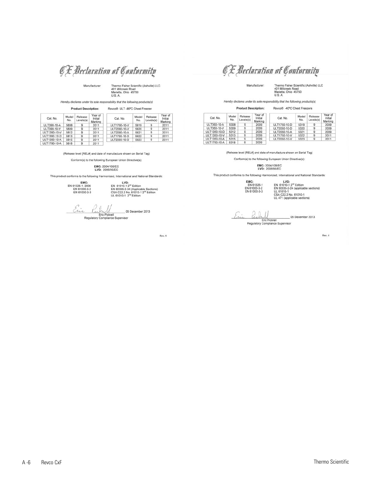O E Declaration of Conformity

Manufacturer:

Thermo Fisher Scientific (Ashville) LLC<br>401 Millcreek Road<br>Marietta, Ohio 45750<br>U.S. A.

Hereby declares under its sole responsibility that the following products(s)

|              | <b>Product Description:</b> |                      |                               | Revco® ULT -86°C Chest Freezer |              |                      |                               |
|--------------|-----------------------------|----------------------|-------------------------------|--------------------------------|--------------|----------------------|-------------------------------|
| Cat. No.     | Model<br>No.                | Release<br>Levels(s) | Year of<br>Initial<br>Marking | Cat. No.                       | Model<br>No. | Release<br>Levels(s) | Year of<br>Initial<br>Marking |
| ULT390-10-A  | 5808                        | 9                    | 2011                          | ULT1790-10-V                   | 5819         | 9                    | 2011                          |
| ULT390-10-V  | 5809                        | 9                    | 2011                          | ULT2090-10-V                   | 5820         | 9                    | 2011                          |
| ULT1390-10-V | 5812                        | 9                    | 2011                          | ULT2090-10-A                   | 5821         | 9                    | 2011                          |
| ULT1390-10-D | 5813                        | 9                    | 2011                          | ULT1790-10-D                   | 5822         | 9                    | 2011                          |
| ULT1390-10-A | 5815                        | 9                    | 2011                          | ULT2090-10-D                   | 5823         | 9                    | 2011                          |
| ULT1790-10-A | 5818                        | 9                    | 2011                          |                                |              |                      |                               |

(Release level [REL#] and date of manufacture shown on Serial Tag)

Conform(s) to the following European Union Directive(s):

## EMC: 2004/108/EC<br>LVD: 2006/95/EC

This product conforms to the following Harmonized, International and National Standards:

EMC:<br>EN 61326-1; 2006<br>EN 61000-3-2<br>EN 61000-3-3

 $\begin{array}{c} \textbf{LVD:} \\ \textbf{EN 61010-1 2}^{\bowtie} \textbf{Edition} \\ \textbf{EN 60335-2-34 (Appilicalole Sections)} \\ \textbf{CSA C22.2 No. 61010-1 2}^{\bowtie} \textbf{Edition} \\ \textbf{UL 61010-1 2}^{\bowtie} \textbf{Edition} \end{array}$ 

Èi \_05 December 2013

Eric Pickr<br>Regulatory Complian ce<br>ce Supervisor

Rev. 4

# O E Declaration of Conformity

Manufacturer:

Thermo Fisher Scientific (Ashville) LLC<br>401 Milicreek Road<br>Marietta, Ohio 45750<br>U.S. A.

Hereby declares under its sole responsibility that the following products(s)

|              | <b>Product Description:</b> |                      |                               | Revco® -40°C Chest Freezers |              |                      |                               |
|--------------|-----------------------------|----------------------|-------------------------------|-----------------------------|--------------|----------------------|-------------------------------|
| Cat. No.     | Model<br>No.                | Release<br>Levels(s) | Year of<br>Initial<br>Marking | Cat. No.                    | Model<br>No. | Release<br>Levels(s) | Year of<br>Initial<br>Marking |
| ULT350-10-A  | 5308                        | 9                    | 2009                          | ULT1750-10-D                | 5319         | 9                    | 2009                          |
| ULT350-10-V  | 5309                        | 9                    | 2009                          | ULT2050-10-D                | 5320         | 9                    | 2009                          |
| ULT1350-10-D | 5312                        | 9                    | 2009                          | ULT2050-10-A                | 5321         | 9                    | 2009                          |
| ULT1350-10-V | 5313                        | 9                    | 2009                          | ULT1750-10-V                | 5322         | 9                    | 2011                          |
| ULT1350-10-A | 5315                        | $\mathbf{9}$         | 2009                          | ULT2050-10-V                | 5323         | 9                    | 2011                          |
| ULT1750-10-A | 5318                        | 9                    | 2009                          |                             |              |                      |                               |

(Release level [REL#] and date of manufacture shown on Serial Tag)

Conform(s) to the following European Union Directive(s):

## EMC: 2004/108/EC<br>LVD: 2006/95/EC

This product conforms to the following Harmonized, International and National Standards:

EMC:<br>EN 61326-1<br>EN 61000-3-2<br>EN 61000-3-3

 $[UD:  
\nEN 61010-1<sup>2<sub>rd</sub></sup> Edition  
\nEN 60335-2-24 (applicable sections)  
\nUL 61010-1  
\nCSA C22.2 No. 61010-1  
\nUL 471 (applicable sections)$ 

Perdal<br>Eric Pickrell<br>Regulatory Compliance Supervisor 05 December 2013

Rev. 4